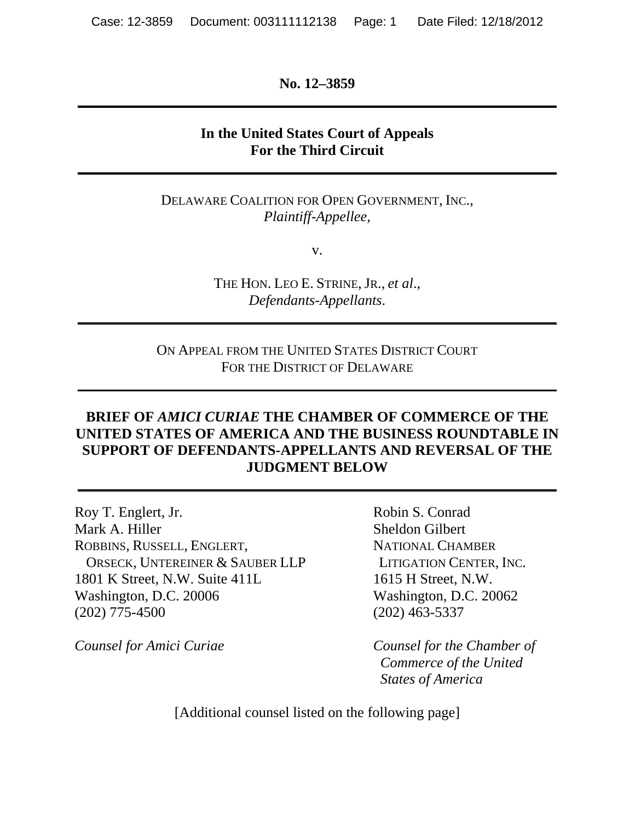**No. 12–3859 \_\_\_\_\_\_\_\_\_\_\_\_\_\_\_\_\_\_\_\_\_\_\_\_\_\_\_\_\_\_\_\_\_\_\_\_\_\_\_\_\_\_\_\_\_\_\_\_\_\_\_\_\_\_\_\_\_\_\_\_\_\_\_\_\_\_** 

#### **In the United States Court of Appeals For the Third Circuit**

**\_\_\_\_\_\_\_\_\_\_\_\_\_\_\_\_\_\_\_\_\_\_\_\_\_\_\_\_\_\_\_\_\_\_\_\_\_\_\_\_\_\_\_\_\_\_\_\_\_\_\_\_\_\_\_\_\_\_\_\_\_\_\_\_\_\_** 

DELAWARE COALITION FOR OPEN GOVERNMENT, INC., *Plaintiff-Appellee*,

v.

THE HON. LEO E. STRINE, JR., *et al*., *Defendants-Appellants*.

**\_\_\_\_\_\_\_\_\_\_\_\_\_\_\_\_\_\_\_\_\_\_\_\_\_\_\_\_\_\_\_\_\_\_\_\_\_\_\_\_\_\_\_\_\_\_\_\_\_\_\_\_\_\_\_\_\_\_\_\_\_\_\_\_\_\_** 

ON APPEAL FROM THE UNITED STATES DISTRICT COURT FOR THE DISTRICT OF DELAWARE

**\_\_\_\_\_\_\_\_\_\_\_\_\_\_\_\_\_\_\_\_\_\_\_\_\_\_\_\_\_\_\_\_\_\_\_\_\_\_\_\_\_\_\_\_\_\_\_\_\_\_\_\_\_\_\_\_\_\_\_\_\_\_\_\_\_\_** 

#### **BRIEF OF** *AMICI CURIAE* **THE CHAMBER OF COMMERCE OF THE UNITED STATES OF AMERICA AND THE BUSINESS ROUNDTABLE IN SUPPORT OF DEFENDANTS-APPELLANTS AND REVERSAL OF THE JUDGMENT BELOW**

**\_\_\_\_\_\_\_\_\_\_\_\_\_\_\_\_\_\_\_\_\_\_\_\_\_\_\_\_\_\_\_\_\_\_\_\_\_\_\_\_\_\_\_\_\_\_\_\_\_\_\_\_\_\_\_\_\_\_\_\_\_\_\_\_\_\_** 

Roy T. Englert, Jr. Robin S. Conrad Mark A. Hiller Sheldon Gilbert ROBBINS, RUSSELL, ENGLERT, NATIONAL CHAMBER ORSECK, UNTEREINER & SAUBER LLP LITIGATION CENTER, INC. 1801 K Street, N.W. Suite 411L 1615 H Street, N.W. Washington, D.C. 20006 Washington, D.C. 20062 (202) 775-4500 (202) 463-5337

*Counsel for Amici Curiae Counsel for the Chamber of Commerce of the United States of America* 

[Additional counsel listed on the following page]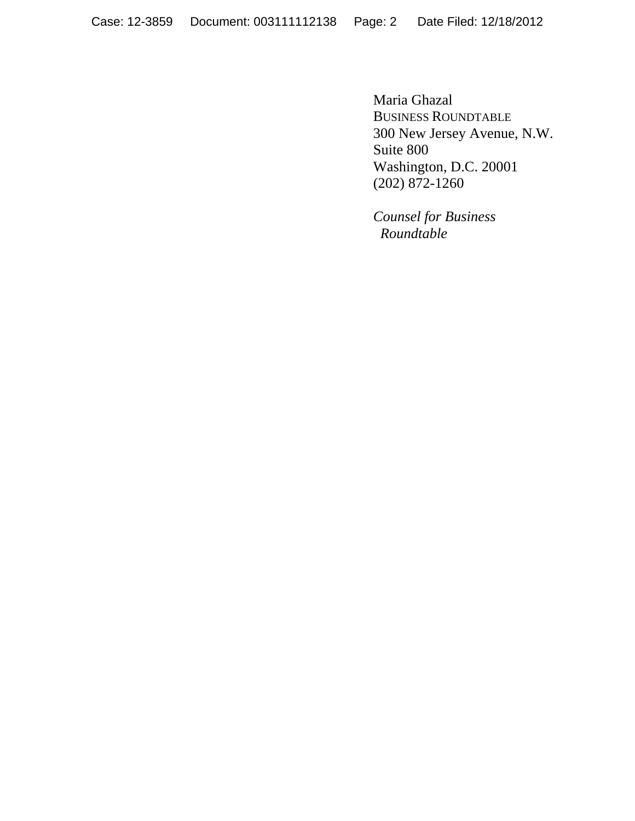Maria Ghazal BUSINESS ROUNDTABLE 300 New Jersey Avenue, N.W. Suite 800 Washington, D.C. 20001  $(202) 872-1260$ 

> *Counsel for Business Roundtable*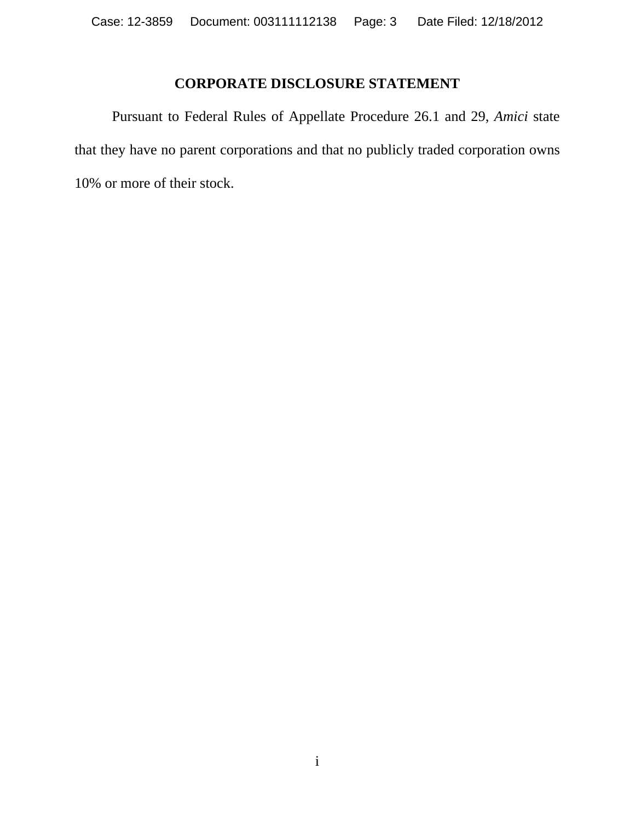## **CORPORATE DISCLOSURE STATEMENT**

 Pursuant to Federal Rules of Appellate Procedure 26.1 and 29, *Amici* state that they have no parent corporations and that no publicly traded corporation owns 10% or more of their stock.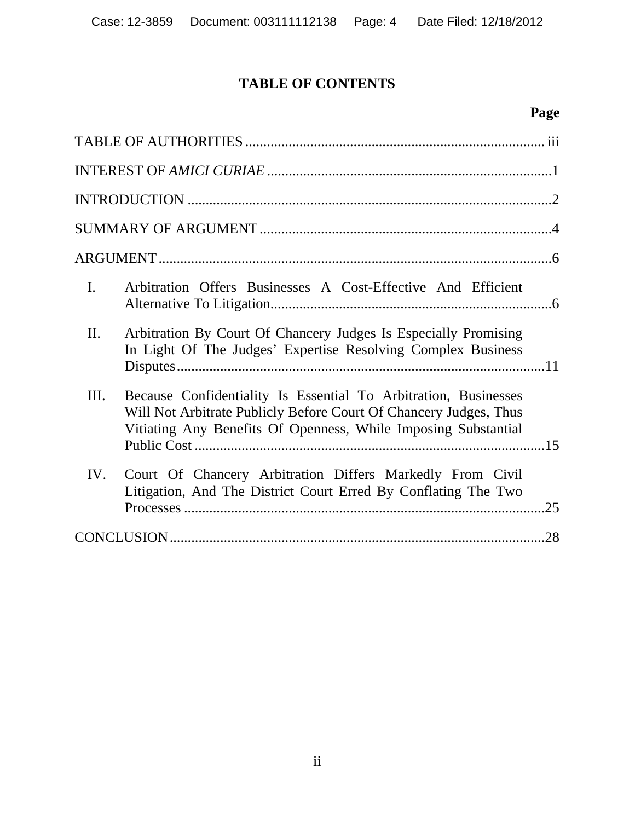# **TABLE OF CONTENTS**

## **Page**

| I.<br>Arbitration Offers Businesses A Cost-Effective And Efficient                                                                                                                                             |
|----------------------------------------------------------------------------------------------------------------------------------------------------------------------------------------------------------------|
| II.<br>Arbitration By Court Of Chancery Judges Is Especially Promising<br>In Light Of The Judges' Expertise Resolving Complex Business                                                                         |
| Because Confidentiality Is Essential To Arbitration, Businesses<br>III.<br>Will Not Arbitrate Publicly Before Court Of Chancery Judges, Thus<br>Vitiating Any Benefits Of Openness, While Imposing Substantial |
| Court Of Chancery Arbitration Differs Markedly From Civil<br>IV.<br>Litigation, And The District Court Erred By Conflating The Two<br>.25                                                                      |
| .28                                                                                                                                                                                                            |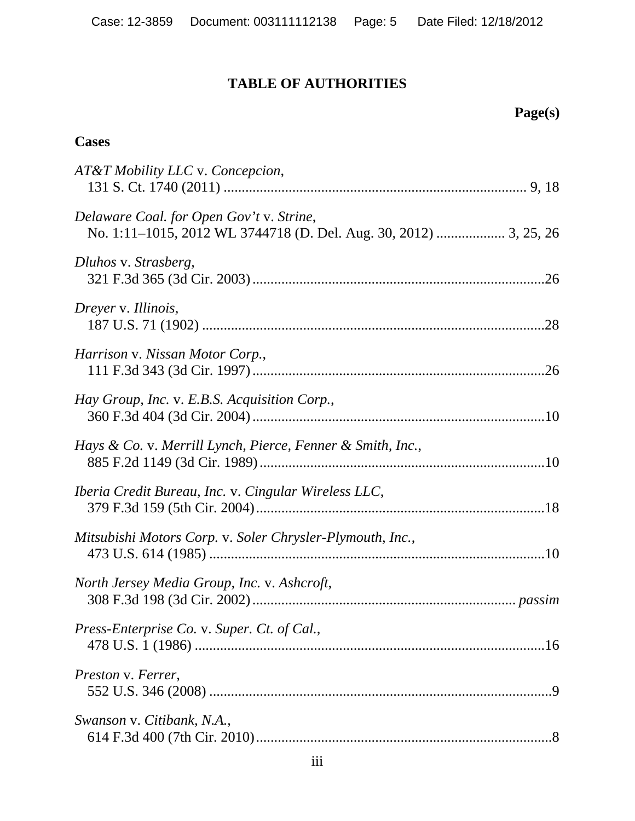# **TABLE OF AUTHORITIES**

| <b>Cases</b>                                               |
|------------------------------------------------------------|
| AT&T Mobility LLC v. Concepcion,                           |
| Delaware Coal. for Open Gov't v. Strine,                   |
| Dluhos v. Strasberg,                                       |
| Dreyer v. Illinois,                                        |
| Harrison v. Nissan Motor Corp.,                            |
| Hay Group, Inc. v. E.B.S. Acquisition Corp.,               |
| Hays & Co. v. Merrill Lynch, Pierce, Fenner & Smith, Inc., |
| Iberia Credit Bureau, Inc. v. Cingular Wireless LLC,       |
| Mitsubishi Motors Corp. v. Soler Chrysler-Plymouth, Inc.,  |
| North Jersey Media Group, Inc. v. Ashcroft,                |
| Press-Enterprise Co. v. Super. Ct. of Cal.,                |
| Preston v. Ferrer,                                         |
| Swanson v. Citibank, N.A.,                                 |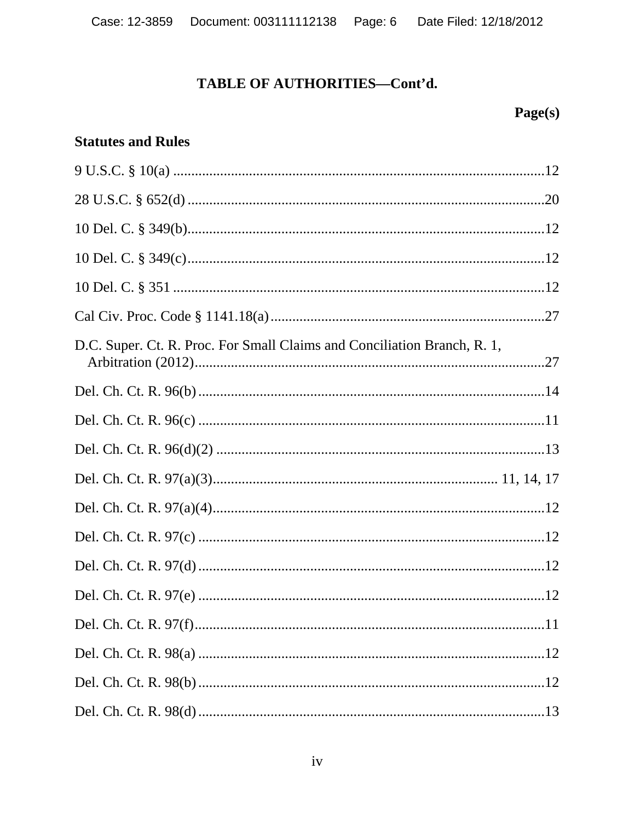## Page(s)

### **Statutes and Rules**

| $9 U.S.C. § 10(a)  \dots 12$                                             |  |
|--------------------------------------------------------------------------|--|
|                                                                          |  |
|                                                                          |  |
|                                                                          |  |
|                                                                          |  |
|                                                                          |  |
| D.C. Super. Ct. R. Proc. For Small Claims and Conciliation Branch, R. 1, |  |
|                                                                          |  |
|                                                                          |  |
|                                                                          |  |
|                                                                          |  |
|                                                                          |  |
|                                                                          |  |
|                                                                          |  |
|                                                                          |  |
|                                                                          |  |
|                                                                          |  |
|                                                                          |  |
|                                                                          |  |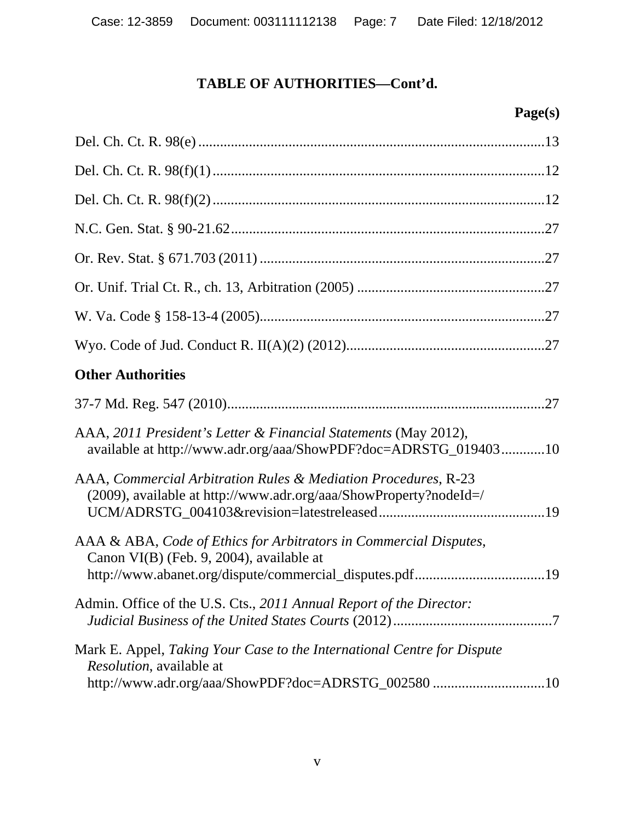| <b>Other Authorities</b>                                                                                                                                                 |
|--------------------------------------------------------------------------------------------------------------------------------------------------------------------------|
|                                                                                                                                                                          |
| AAA, 2011 President's Letter & Financial Statements (May 2012),<br>available at http://www.adr.org/aaa/ShowPDF?doc=ADRSTG_01940310                                       |
| AAA, Commercial Arbitration Rules & Mediation Procedures, R-23<br>$(2009)$ , available at http://www.adr.org/aaa/ShowProperty?nodeId=/                                   |
| AAA & ABA, Code of Ethics for Arbitrators in Commercial Disputes,<br>Canon VI(B) (Feb. 9, 2004), available at<br>http://www.abanet.org/dispute/commercial_disputes.pdf19 |
| Admin. Office of the U.S. Cts., 2011 Annual Report of the Director:                                                                                                      |
| Mark E. Appel, Taking Your Case to the International Centre for Dispute<br><i>Resolution</i> , available at<br>http://www.adr.org/aaa/ShowPDF?doc=ADRSTG_002580 10       |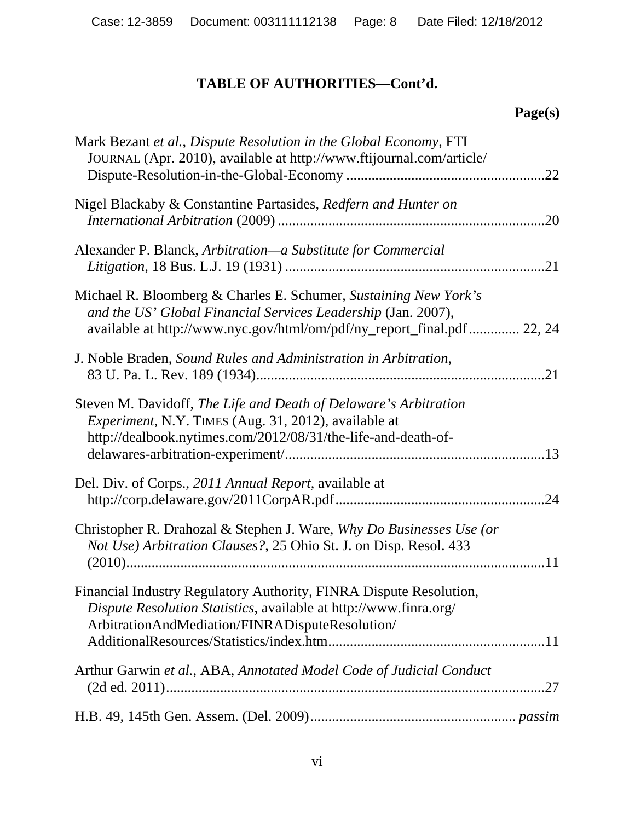| Mark Bezant et al., Dispute Resolution in the Global Economy, FTI<br>JOURNAL (Apr. 2010), available at http://www.ftijournal.com/article/                                                                   | .22 |
|-------------------------------------------------------------------------------------------------------------------------------------------------------------------------------------------------------------|-----|
| Nigel Blackaby & Constantine Partasides, Redfern and Hunter on                                                                                                                                              | .20 |
| Alexander P. Blanck, Arbitration—a Substitute for Commercial                                                                                                                                                | .21 |
| Michael R. Bloomberg & Charles E. Schumer, Sustaining New York's<br>and the US' Global Financial Services Leadership (Jan. 2007),<br>available at http://www.nyc.gov/html/om/pdf/ny_report_final.pdf 22, 24 |     |
| J. Noble Braden, Sound Rules and Administration in Arbitration,                                                                                                                                             | .21 |
| Steven M. Davidoff, The Life and Death of Delaware's Arbitration<br>Experiment, N.Y. TIMES (Aug. 31, 2012), available at<br>http://dealbook.nytimes.com/2012/08/31/the-life-and-death-of-                   |     |
| Del. Div. of Corps., 2011 Annual Report, available at                                                                                                                                                       | .24 |
| Christopher R. Drahozal & Stephen J. Ware, Why Do Businesses Use (or<br>Not Use) Arbitration Clauses?, 25 Ohio St. J. on Disp. Resol. 433                                                                   |     |
| Financial Industry Regulatory Authority, FINRA Dispute Resolution,<br><i>Dispute Resolution Statistics, available at http://www.finra.org/</i><br>ArbitrationAndMediation/FINRADisputeResolution/           |     |
| Arthur Garwin et al., ABA, Annotated Model Code of Judicial Conduct                                                                                                                                         | .27 |
|                                                                                                                                                                                                             |     |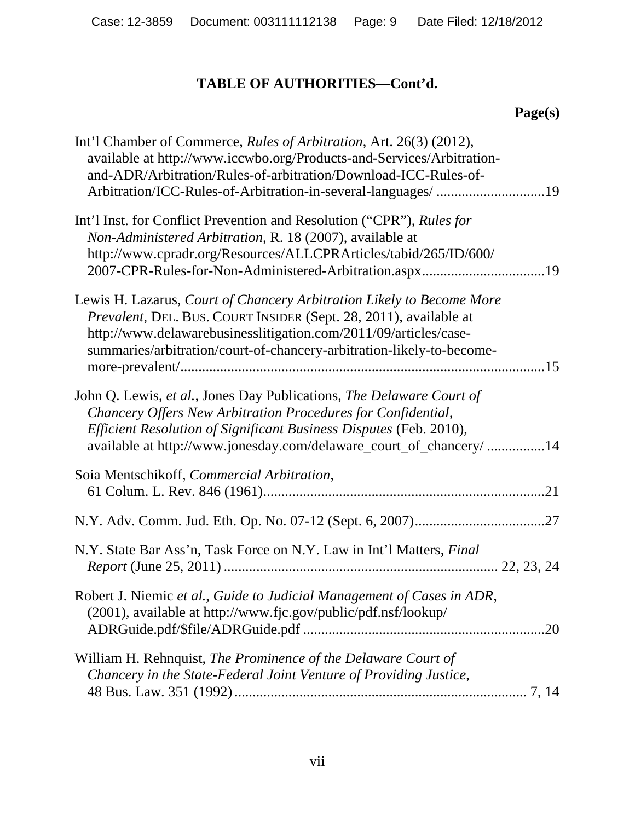| Int'l Chamber of Commerce, Rules of Arbitration, Art. 26(3) (2012),<br>available at http://www.iccwbo.org/Products-and-Services/Arbitration-<br>and-ADR/Arbitration/Rules-of-arbitration/Download-ICC-Rules-of-<br>Arbitration/ICC-Rules-of-Arbitration-in-several-languages/ 19        |
|-----------------------------------------------------------------------------------------------------------------------------------------------------------------------------------------------------------------------------------------------------------------------------------------|
| Int'l Inst. for Conflict Prevention and Resolution ("CPR"), Rules for<br>Non-Administered Arbitration, R. 18 (2007), available at<br>http://www.cpradr.org/Resources/ALLCPRArticles/tabid/265/ID/600/                                                                                   |
| Lewis H. Lazarus, Court of Chancery Arbitration Likely to Become More<br>Prevalent, DEL. BUS. COURT INSIDER (Sept. 28, 2011), available at<br>http://www.delawarebusinesslitigation.com/2011/09/articles/case-<br>summaries/arbitration/court-of-chancery-arbitration-likely-to-become- |
| John Q. Lewis, et al., Jones Day Publications, The Delaware Court of<br>Chancery Offers New Arbitration Procedures for Confidential,<br>Efficient Resolution of Significant Business Disputes (Feb. 2010),<br>available at http://www.jonesday.com/delaware_court_of_chancery/ 14       |
| Soia Mentschikoff, Commercial Arbitration,                                                                                                                                                                                                                                              |
|                                                                                                                                                                                                                                                                                         |
| N.Y. State Bar Ass'n, Task Force on N.Y. Law in Int'l Matters, Final                                                                                                                                                                                                                    |
| Robert J. Niemic et al., Guide to Judicial Management of Cases in ADR,<br>(2001), available at http://www.fjc.gov/public/pdf.nsf/lookup/                                                                                                                                                |
| William H. Rehnquist, The Prominence of the Delaware Court of<br>Chancery in the State-Federal Joint Venture of Providing Justice,                                                                                                                                                      |
|                                                                                                                                                                                                                                                                                         |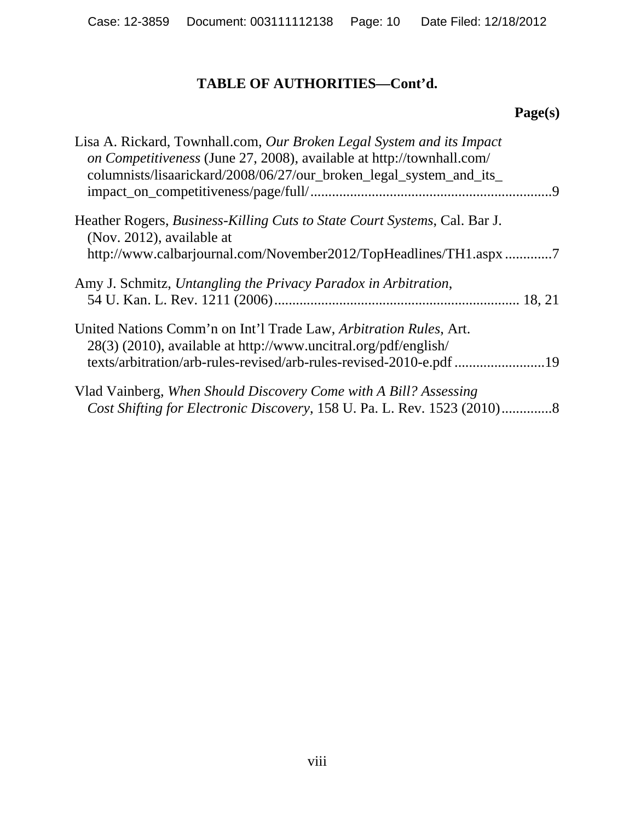| Lisa A. Rickard, Townhall.com, Our Broken Legal System and its Impact<br>on Competitiveness (June 27, 2008), available at http://townhall.com/<br>columnists/lisaarickard/2008/06/27/our_broken_legal_system_and_its_ |
|-----------------------------------------------------------------------------------------------------------------------------------------------------------------------------------------------------------------------|
| Heather Rogers, <i>Business-Killing Cuts to State Court Systems</i> , Cal. Bar J.<br>(Nov. 2012), available at<br>http://www.calbarjournal.com/November2012/TopHeadlines/TH1.aspx7                                    |
| Amy J. Schmitz, Untangling the Privacy Paradox in Arbitration,                                                                                                                                                        |
| United Nations Comm'n on Int'l Trade Law, Arbitration Rules, Art.<br>28(3) (2010), available at http://www.uncitral.org/pdf/english/<br>texts/arbitration/arb-rules-revised/arb-rules-revised-2010-e.pdf 19           |
| Vlad Vainberg, When Should Discovery Come with A Bill? Assessing                                                                                                                                                      |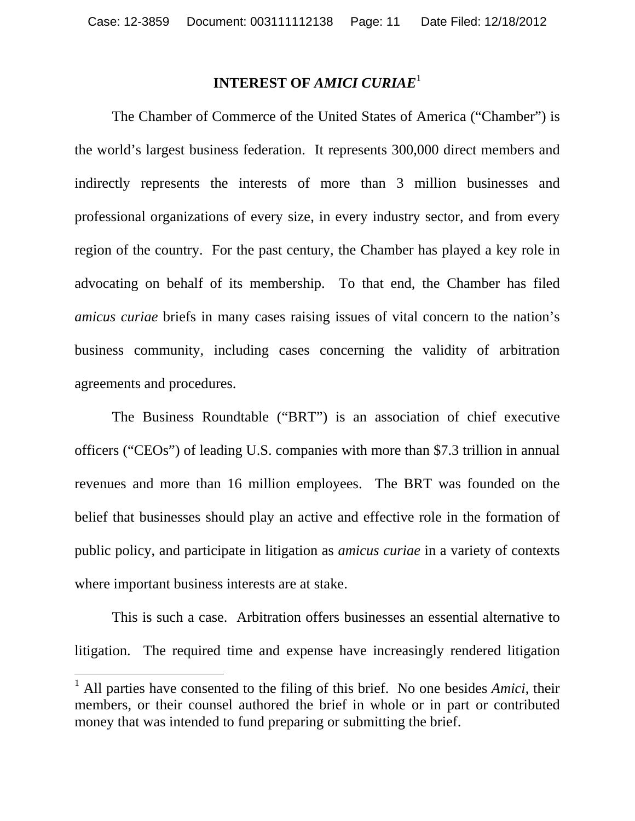#### **INTEREST OF** *AMICI CURIAE*<sup>1</sup>

 The Chamber of Commerce of the United States of America ("Chamber") is the world's largest business federation. It represents 300,000 direct members and indirectly represents the interests of more than 3 million businesses and professional organizations of every size, in every industry sector, and from every region of the country. For the past century, the Chamber has played a key role in advocating on behalf of its membership. To that end, the Chamber has filed *amicus curiae* briefs in many cases raising issues of vital concern to the nation's business community, including cases concerning the validity of arbitration agreements and procedures.

 The Business Roundtable ("BRT") is an association of chief executive officers ("CEOs") of leading U.S. companies with more than \$7.3 trillion in annual revenues and more than 16 million employees. The BRT was founded on the belief that businesses should play an active and effective role in the formation of public policy, and participate in litigation as *amicus curiae* in a variety of contexts where important business interests are at stake.

 This is such a case. Arbitration offers businesses an essential alternative to litigation. The required time and expense have increasingly rendered litigation

 $\overline{a}$ 

<sup>&</sup>lt;sup>1</sup> All parties have consented to the filing of this brief. No one besides *Amici*, their members, or their counsel authored the brief in whole or in part or contributed money that was intended to fund preparing or submitting the brief.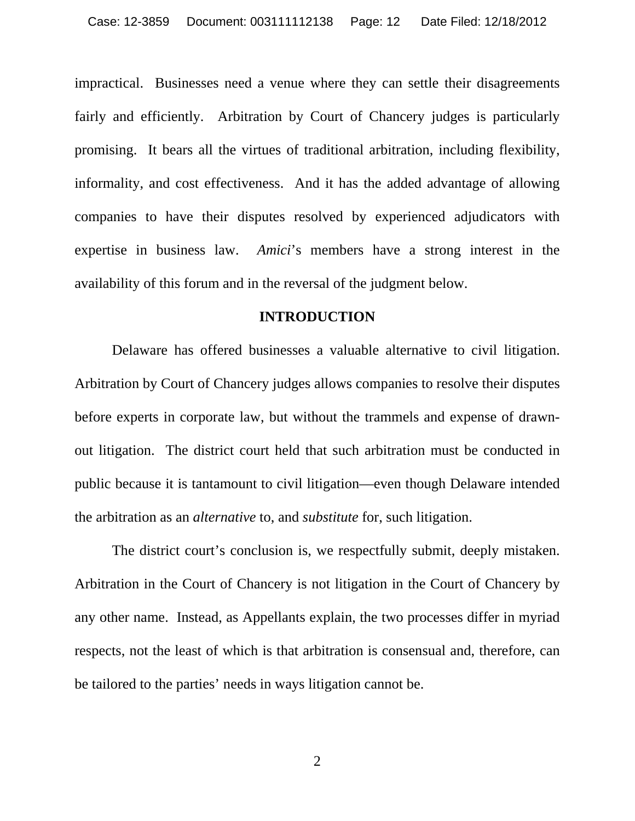impractical. Businesses need a venue where they can settle their disagreements fairly and efficiently. Arbitration by Court of Chancery judges is particularly promising. It bears all the virtues of traditional arbitration, including flexibility, informality, and cost effectiveness. And it has the added advantage of allowing companies to have their disputes resolved by experienced adjudicators with expertise in business law. *Amici*'s members have a strong interest in the availability of this forum and in the reversal of the judgment below.

#### **INTRODUCTION**

 Delaware has offered businesses a valuable alternative to civil litigation. Arbitration by Court of Chancery judges allows companies to resolve their disputes before experts in corporate law, but without the trammels and expense of drawnout litigation. The district court held that such arbitration must be conducted in public because it is tantamount to civil litigation—even though Delaware intended the arbitration as an *alternative* to, and *substitute* for, such litigation.

 The district court's conclusion is, we respectfully submit, deeply mistaken. Arbitration in the Court of Chancery is not litigation in the Court of Chancery by any other name. Instead, as Appellants explain, the two processes differ in myriad respects, not the least of which is that arbitration is consensual and, therefore, can be tailored to the parties' needs in ways litigation cannot be.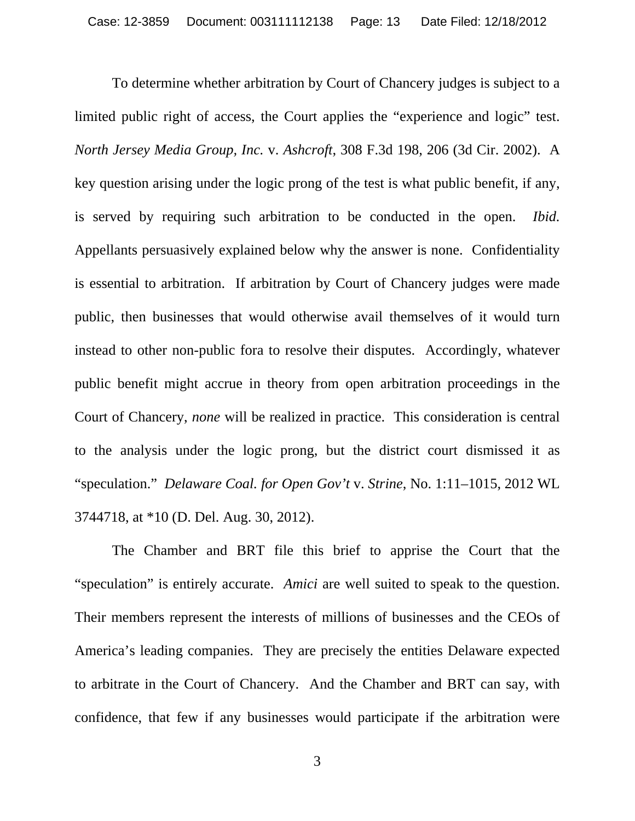To determine whether arbitration by Court of Chancery judges is subject to a limited public right of access, the Court applies the "experience and logic" test. *North Jersey Media Group, Inc.* v. *Ashcroft*, 308 F.3d 198, 206 (3d Cir. 2002). A key question arising under the logic prong of the test is what public benefit, if any, is served by requiring such arbitration to be conducted in the open. *Ibid.* Appellants persuasively explained below why the answer is none. Confidentiality is essential to arbitration. If arbitration by Court of Chancery judges were made public, then businesses that would otherwise avail themselves of it would turn instead to other non-public fora to resolve their disputes. Accordingly, whatever public benefit might accrue in theory from open arbitration proceedings in the Court of Chancery, *none* will be realized in practice. This consideration is central to the analysis under the logic prong, but the district court dismissed it as "speculation." *Delaware Coal. for Open Gov't* v. *Strine*, No. 1:11–1015, 2012 WL 3744718, at \*10 (D. Del. Aug. 30, 2012).

 The Chamber and BRT file this brief to apprise the Court that the "speculation" is entirely accurate. *Amici* are well suited to speak to the question. Their members represent the interests of millions of businesses and the CEOs of America's leading companies. They are precisely the entities Delaware expected to arbitrate in the Court of Chancery. And the Chamber and BRT can say, with confidence, that few if any businesses would participate if the arbitration were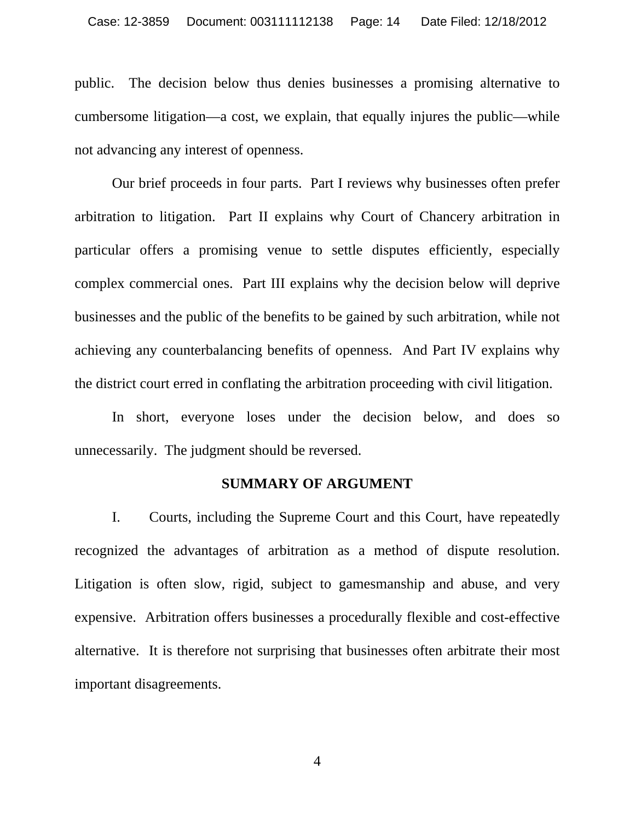public. The decision below thus denies businesses a promising alternative to cumbersome litigation—a cost, we explain, that equally injures the public—while not advancing any interest of openness.

 Our brief proceeds in four parts. Part I reviews why businesses often prefer arbitration to litigation. Part II explains why Court of Chancery arbitration in particular offers a promising venue to settle disputes efficiently, especially complex commercial ones. Part III explains why the decision below will deprive businesses and the public of the benefits to be gained by such arbitration, while not achieving any counterbalancing benefits of openness. And Part IV explains why the district court erred in conflating the arbitration proceeding with civil litigation.

 In short, everyone loses under the decision below, and does so unnecessarily. The judgment should be reversed.

#### **SUMMARY OF ARGUMENT**

 I. Courts, including the Supreme Court and this Court, have repeatedly recognized the advantages of arbitration as a method of dispute resolution. Litigation is often slow, rigid, subject to gamesmanship and abuse, and very expensive. Arbitration offers businesses a procedurally flexible and cost-effective alternative. It is therefore not surprising that businesses often arbitrate their most important disagreements.

4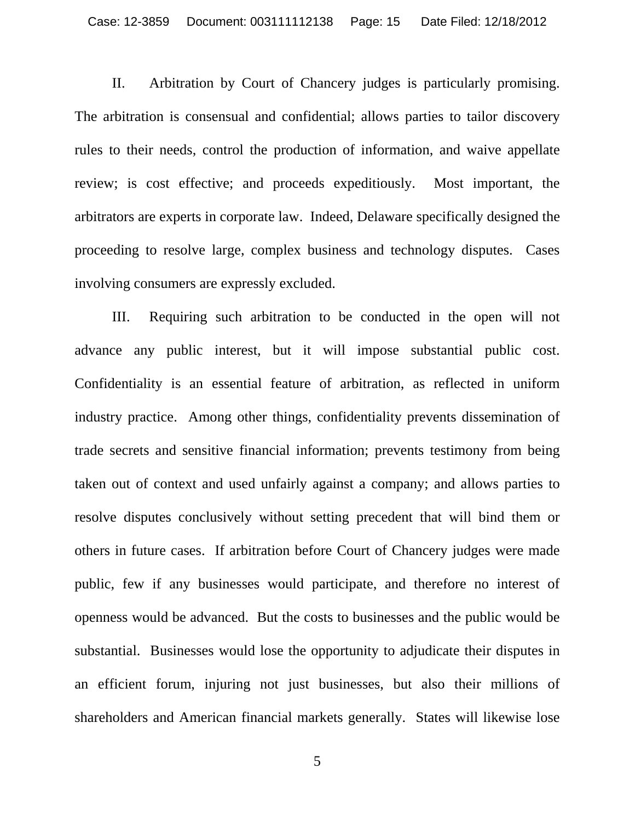II. Arbitration by Court of Chancery judges is particularly promising. The arbitration is consensual and confidential; allows parties to tailor discovery rules to their needs, control the production of information, and waive appellate review; is cost effective; and proceeds expeditiously. Most important, the arbitrators are experts in corporate law. Indeed, Delaware specifically designed the proceeding to resolve large, complex business and technology disputes. Cases involving consumers are expressly excluded.

 III. Requiring such arbitration to be conducted in the open will not advance any public interest, but it will impose substantial public cost. Confidentiality is an essential feature of arbitration, as reflected in uniform industry practice. Among other things, confidentiality prevents dissemination of trade secrets and sensitive financial information; prevents testimony from being taken out of context and used unfairly against a company; and allows parties to resolve disputes conclusively without setting precedent that will bind them or others in future cases. If arbitration before Court of Chancery judges were made public, few if any businesses would participate, and therefore no interest of openness would be advanced. But the costs to businesses and the public would be substantial. Businesses would lose the opportunity to adjudicate their disputes in an efficient forum, injuring not just businesses, but also their millions of shareholders and American financial markets generally. States will likewise lose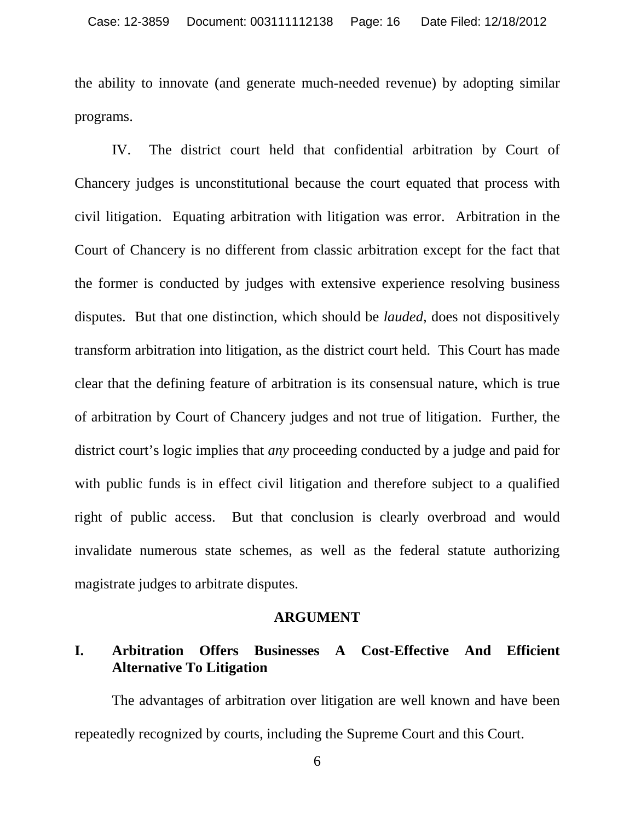the ability to innovate (and generate much-needed revenue) by adopting similar programs.

 IV. The district court held that confidential arbitration by Court of Chancery judges is unconstitutional because the court equated that process with civil litigation. Equating arbitration with litigation was error. Arbitration in the Court of Chancery is no different from classic arbitration except for the fact that the former is conducted by judges with extensive experience resolving business disputes. But that one distinction, which should be *lauded*, does not dispositively transform arbitration into litigation, as the district court held. This Court has made clear that the defining feature of arbitration is its consensual nature, which is true of arbitration by Court of Chancery judges and not true of litigation. Further, the district court's logic implies that *any* proceeding conducted by a judge and paid for with public funds is in effect civil litigation and therefore subject to a qualified right of public access. But that conclusion is clearly overbroad and would invalidate numerous state schemes, as well as the federal statute authorizing magistrate judges to arbitrate disputes.

#### **ARGUMENT**

#### **I. Arbitration Offers Businesses A Cost-Effective And Efficient Alternative To Litigation**

 The advantages of arbitration over litigation are well known and have been repeatedly recognized by courts, including the Supreme Court and this Court.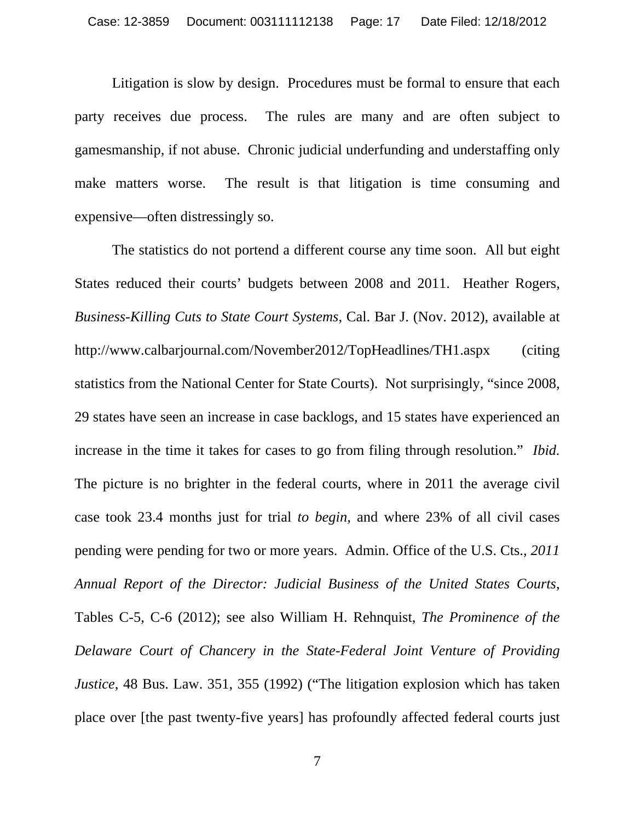Litigation is slow by design. Procedures must be formal to ensure that each party receives due process. The rules are many and are often subject to gamesmanship, if not abuse. Chronic judicial underfunding and understaffing only make matters worse. The result is that litigation is time consuming and expensive—often distressingly so.

 The statistics do not portend a different course any time soon. All but eight States reduced their courts' budgets between 2008 and 2011. Heather Rogers, *Business-Killing Cuts to State Court Systems*, Cal. Bar J. (Nov. 2012), available at http://www.calbarjournal.com/November2012/TopHeadlines/TH1.aspx (citing statistics from the National Center for State Courts). Not surprisingly, "since 2008, 29 states have seen an increase in case backlogs, and 15 states have experienced an increase in the time it takes for cases to go from filing through resolution." *Ibid.* The picture is no brighter in the federal courts, where in 2011 the average civil case took 23.4 months just for trial *to begin*, and where 23% of all civil cases pending were pending for two or more years. Admin. Office of the U.S. Cts., *2011 Annual Report of the Director: Judicial Business of the United States Courts*, Tables C-5, C-6 (2012); see also William H. Rehnquist, *The Prominence of the Delaware Court of Chancery in the State-Federal Joint Venture of Providing Justice*, 48 Bus. Law. 351, 355 (1992) ("The litigation explosion which has taken place over [the past twenty-five years] has profoundly affected federal courts just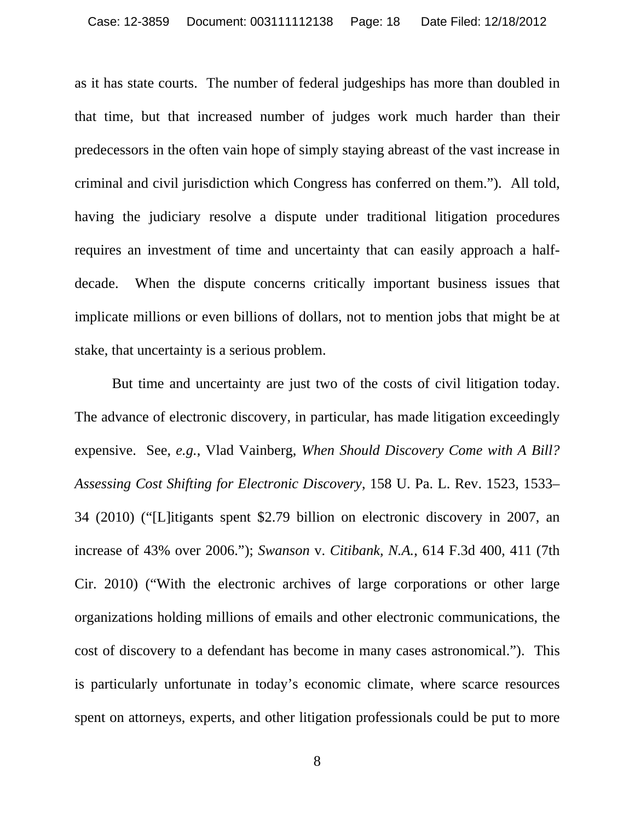as it has state courts. The number of federal judgeships has more than doubled in that time, but that increased number of judges work much harder than their predecessors in the often vain hope of simply staying abreast of the vast increase in criminal and civil jurisdiction which Congress has conferred on them."). All told, having the judiciary resolve a dispute under traditional litigation procedures requires an investment of time and uncertainty that can easily approach a halfdecade. When the dispute concerns critically important business issues that implicate millions or even billions of dollars, not to mention jobs that might be at stake, that uncertainty is a serious problem.

 But time and uncertainty are just two of the costs of civil litigation today. The advance of electronic discovery, in particular, has made litigation exceedingly expensive. See, *e.g.*, Vlad Vainberg, *When Should Discovery Come with A Bill? Assessing Cost Shifting for Electronic Discovery*, 158 U. Pa. L. Rev. 1523, 1533– 34 (2010) ("[L]itigants spent \$2.79 billion on electronic discovery in 2007, an increase of 43% over 2006."); *Swanson* v. *Citibank, N.A.*, 614 F.3d 400, 411 (7th Cir. 2010) ("With the electronic archives of large corporations or other large organizations holding millions of emails and other electronic communications, the cost of discovery to a defendant has become in many cases astronomical."). This is particularly unfortunate in today's economic climate, where scarce resources spent on attorneys, experts, and other litigation professionals could be put to more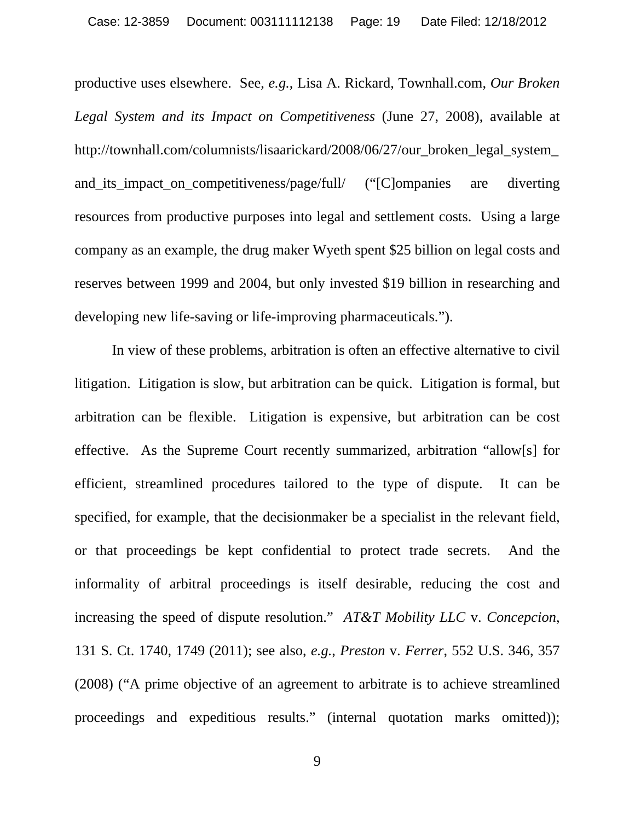productive uses elsewhere. See, *e.g.*, Lisa A. Rickard, Townhall.com, *Our Broken Legal System and its Impact on Competitiveness* (June 27, 2008), available at http://townhall.com/columnists/lisaarickard/2008/06/27/our\_broken\_legal\_system\_ and its impact on competitiveness/page/full/ ("[C]ompanies are diverting resources from productive purposes into legal and settlement costs. Using a large company as an example, the drug maker Wyeth spent \$25 billion on legal costs and reserves between 1999 and 2004, but only invested \$19 billion in researching and developing new life-saving or life-improving pharmaceuticals.").

 In view of these problems, arbitration is often an effective alternative to civil litigation. Litigation is slow, but arbitration can be quick. Litigation is formal, but arbitration can be flexible. Litigation is expensive, but arbitration can be cost effective. As the Supreme Court recently summarized, arbitration "allow[s] for efficient, streamlined procedures tailored to the type of dispute. It can be specified, for example, that the decisionmaker be a specialist in the relevant field, or that proceedings be kept confidential to protect trade secrets. And the informality of arbitral proceedings is itself desirable, reducing the cost and increasing the speed of dispute resolution." *AT&T Mobility LLC* v. *Concepcion*, 131 S. Ct. 1740, 1749 (2011); see also, *e.g.*, *Preston* v. *Ferrer*, 552 U.S. 346, 357 (2008) ("A prime objective of an agreement to arbitrate is to achieve streamlined proceedings and expeditious results." (internal quotation marks omitted));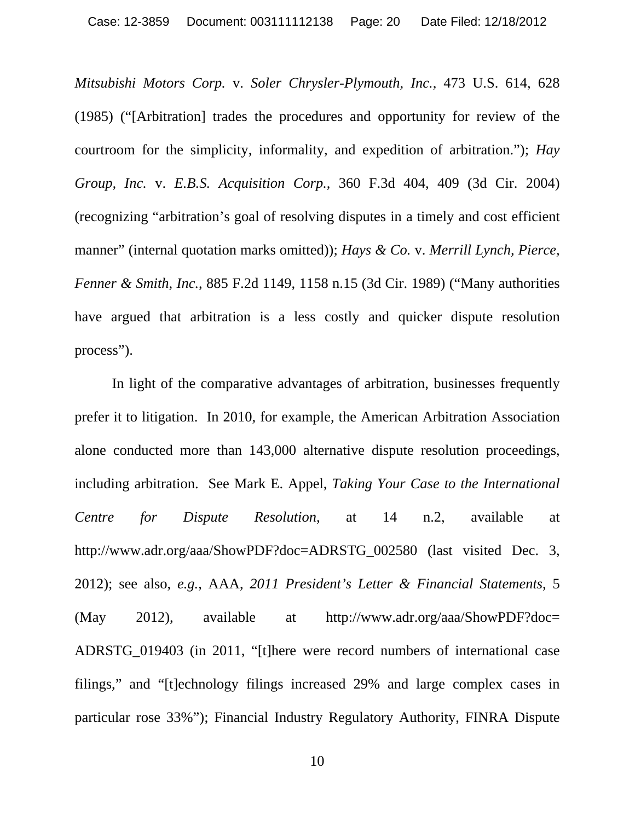*Mitsubishi Motors Corp.* v. *Soler Chrysler-Plymouth, Inc.*, 473 U.S. 614, 628 (1985) ("[Arbitration] trades the procedures and opportunity for review of the courtroom for the simplicity, informality, and expedition of arbitration."); *Hay Group, Inc.* v. *E.B.S. Acquisition Corp.*, 360 F.3d 404, 409 (3d Cir. 2004) (recognizing "arbitration's goal of resolving disputes in a timely and cost efficient manner" (internal quotation marks omitted)); *Hays & Co.* v. *Merrill Lynch, Pierce, Fenner & Smith, Inc.*, 885 F.2d 1149, 1158 n.15 (3d Cir. 1989) ("Many authorities have argued that arbitration is a less costly and quicker dispute resolution process").

 In light of the comparative advantages of arbitration, businesses frequently prefer it to litigation. In 2010, for example, the American Arbitration Association alone conducted more than 143,000 alternative dispute resolution proceedings, including arbitration. See Mark E. Appel, *Taking Your Case to the International Centre for Dispute Resolution*, at 14 n.2, available at http://www.adr.org/aaa/ShowPDF?doc=ADRSTG\_002580 (last visited Dec. 3, 2012); see also, *e.g.*, AAA, *2011 President's Letter & Financial Statements*, 5 (May 2012), available at http://www.adr.org/aaa/ShowPDF?doc= ADRSTG\_019403 (in 2011, "[t]here were record numbers of international case filings," and "[t]echnology filings increased 29% and large complex cases in particular rose 33%"); Financial Industry Regulatory Authority, FINRA Dispute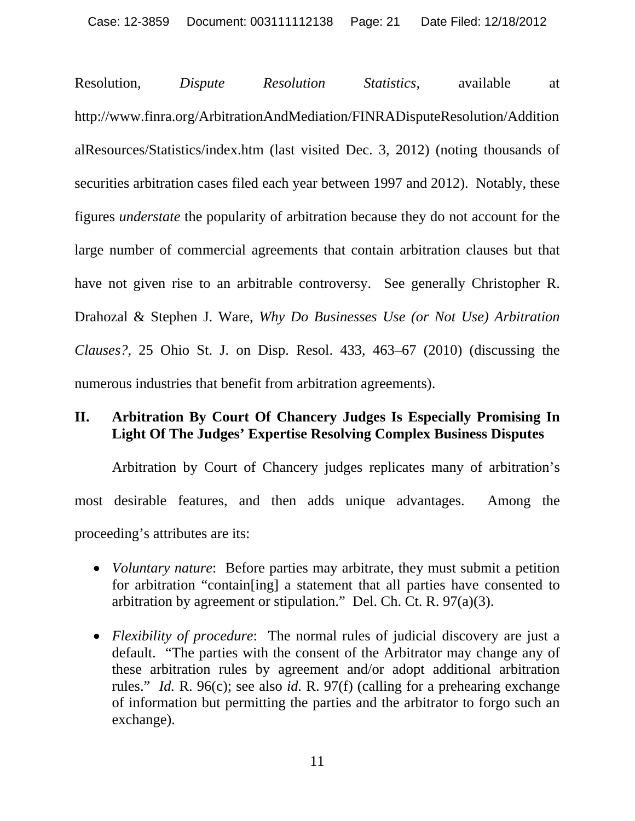Resolution, *Dispute Resolution Statistics*, available at http://www.finra.org/ArbitrationAndMediation/FINRADisputeResolution/Addition alResources/Statistics/index.htm (last visited Dec. 3, 2012) (noting thousands of securities arbitration cases filed each year between 1997 and 2012). Notably, these figures *understate* the popularity of arbitration because they do not account for the large number of commercial agreements that contain arbitration clauses but that have not given rise to an arbitrable controversy. See generally Christopher R. Drahozal & Stephen J. Ware, *Why Do Businesses Use (or Not Use) Arbitration Clauses?*, 25 Ohio St. J. on Disp. Resol. 433, 463–67 (2010) (discussing the numerous industries that benefit from arbitration agreements).

#### **II. Arbitration By Court Of Chancery Judges Is Especially Promising In Light Of The Judges' Expertise Resolving Complex Business Disputes**

 Arbitration by Court of Chancery judges replicates many of arbitration's most desirable features, and then adds unique advantages. Among the proceeding's attributes are its:

- *Voluntary nature*: Before parties may arbitrate, they must submit a petition for arbitration "contain[ing] a statement that all parties have consented to arbitration by agreement or stipulation." Del. Ch. Ct. R. 97(a)(3).
- *Flexibility of procedure*: The normal rules of judicial discovery are just a default. "The parties with the consent of the Arbitrator may change any of these arbitration rules by agreement and/or adopt additional arbitration rules." *Id.* R. 96(c); see also *id.* R. 97(f) (calling for a prehearing exchange of information but permitting the parties and the arbitrator to forgo such an exchange).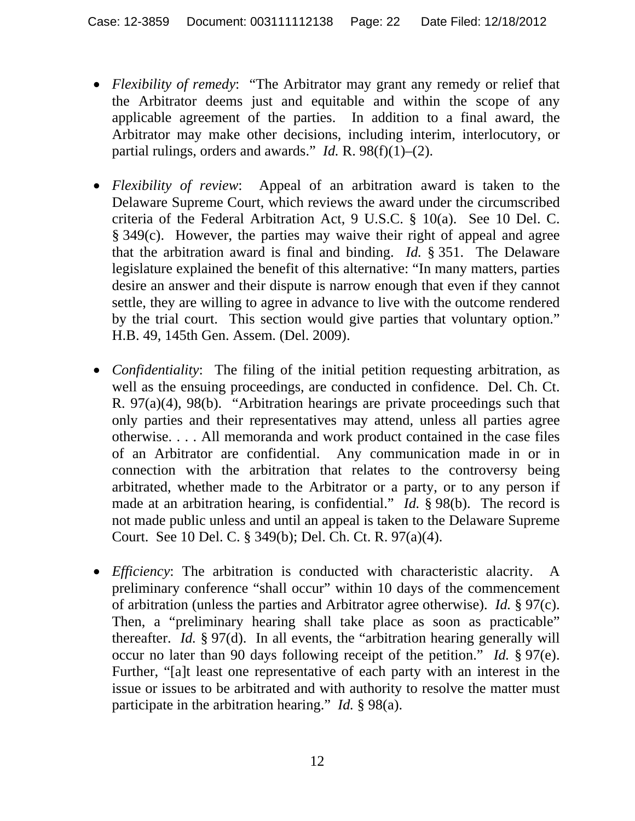- *Flexibility of remedy*: "The Arbitrator may grant any remedy or relief that the Arbitrator deems just and equitable and within the scope of any applicable agreement of the parties. In addition to a final award, the Arbitrator may make other decisions, including interim, interlocutory, or partial rulings, orders and awards." *Id.* R. 98(f)(1)–(2).
- *Flexibility of review*: Appeal of an arbitration award is taken to the Delaware Supreme Court, which reviews the award under the circumscribed criteria of the Federal Arbitration Act, 9 U.S.C. § 10(a). See 10 Del. C. § 349(c). However, the parties may waive their right of appeal and agree that the arbitration award is final and binding. *Id.* § 351. The Delaware legislature explained the benefit of this alternative: "In many matters, parties desire an answer and their dispute is narrow enough that even if they cannot settle, they are willing to agree in advance to live with the outcome rendered by the trial court. This section would give parties that voluntary option." H.B. 49, 145th Gen. Assem. (Del. 2009).
- *Confidentiality*: The filing of the initial petition requesting arbitration, as well as the ensuing proceedings, are conducted in confidence. Del. Ch. Ct. R. 97(a)(4), 98(b). "Arbitration hearings are private proceedings such that only parties and their representatives may attend, unless all parties agree otherwise. . . . All memoranda and work product contained in the case files of an Arbitrator are confidential. Any communication made in or in connection with the arbitration that relates to the controversy being arbitrated, whether made to the Arbitrator or a party, or to any person if made at an arbitration hearing, is confidential." *Id.* § 98(b). The record is not made public unless and until an appeal is taken to the Delaware Supreme Court. See 10 Del. C. § 349(b); Del. Ch. Ct. R. 97(a)(4).
- *Efficiency*: The arbitration is conducted with characteristic alacrity. A preliminary conference "shall occur" within 10 days of the commencement of arbitration (unless the parties and Arbitrator agree otherwise). *Id.* § 97(c). Then, a "preliminary hearing shall take place as soon as practicable" thereafter. *Id.* § 97(d). In all events, the "arbitration hearing generally will occur no later than 90 days following receipt of the petition." *Id.* § 97(e). Further, "[a]t least one representative of each party with an interest in the issue or issues to be arbitrated and with authority to resolve the matter must participate in the arbitration hearing." *Id.* § 98(a).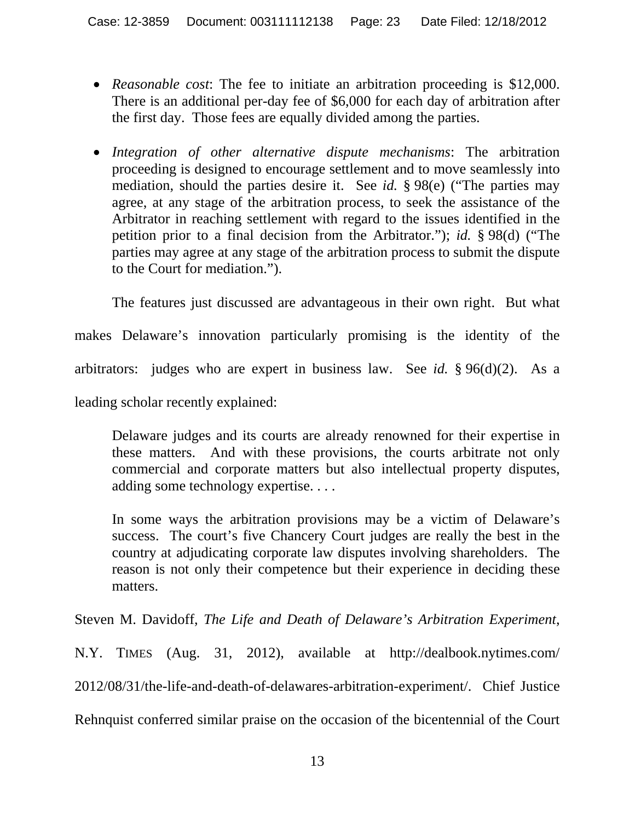- *Reasonable cost*: The fee to initiate an arbitration proceeding is \$12,000. There is an additional per-day fee of \$6,000 for each day of arbitration after the first day. Those fees are equally divided among the parties.
- *Integration of other alternative dispute mechanisms*: The arbitration proceeding is designed to encourage settlement and to move seamlessly into mediation, should the parties desire it. See *id.* § 98(e) ("The parties may agree, at any stage of the arbitration process, to seek the assistance of the Arbitrator in reaching settlement with regard to the issues identified in the petition prior to a final decision from the Arbitrator."); *id.* § 98(d) ("The parties may agree at any stage of the arbitration process to submit the dispute to the Court for mediation.").

 The features just discussed are advantageous in their own right. But what makes Delaware's innovation particularly promising is the identity of the arbitrators: judges who are expert in business law. See *id.* § 96(d)(2). As a leading scholar recently explained:

Delaware judges and its courts are already renowned for their expertise in these matters. And with these provisions, the courts arbitrate not only commercial and corporate matters but also intellectual property disputes, adding some technology expertise. . . .

In some ways the arbitration provisions may be a victim of Delaware's success. The court's five Chancery Court judges are really the best in the country at adjudicating corporate law disputes involving shareholders. The reason is not only their competence but their experience in deciding these matters.

Steven M. Davidoff, *The Life and Death of Delaware's Arbitration Experiment*,

N.Y. TIMES (Aug. 31, 2012), available at http://dealbook.nytimes.com/ 2012/08/31/the-life-and-death-of-delawares-arbitration-experiment/. Chief Justice Rehnquist conferred similar praise on the occasion of the bicentennial of the Court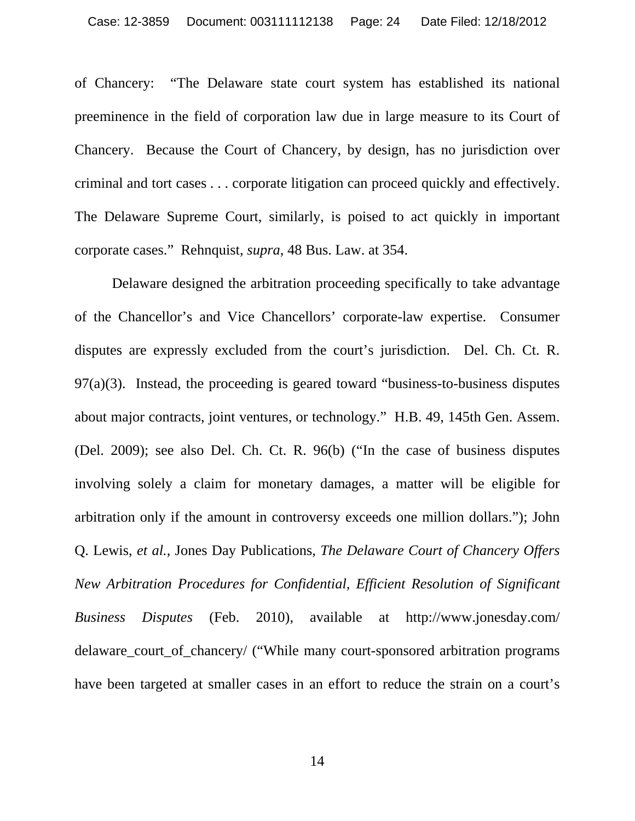of Chancery: "The Delaware state court system has established its national preeminence in the field of corporation law due in large measure to its Court of Chancery. Because the Court of Chancery, by design, has no jurisdiction over criminal and tort cases . . . corporate litigation can proceed quickly and effectively. The Delaware Supreme Court, similarly, is poised to act quickly in important corporate cases." Rehnquist, *supra*, 48 Bus. Law. at 354.

 Delaware designed the arbitration proceeding specifically to take advantage of the Chancellor's and Vice Chancellors' corporate-law expertise. Consumer disputes are expressly excluded from the court's jurisdiction. Del. Ch. Ct. R.  $97(a)(3)$ . Instead, the proceeding is geared toward "business-to-business disputes" about major contracts, joint ventures, or technology." H.B. 49, 145th Gen. Assem. (Del. 2009); see also Del. Ch. Ct. R. 96(b) ("In the case of business disputes involving solely a claim for monetary damages, a matter will be eligible for arbitration only if the amount in controversy exceeds one million dollars."); John Q. Lewis, *et al.*, Jones Day Publications, *The Delaware Court of Chancery Offers New Arbitration Procedures for Confidential, Efficient Resolution of Significant Business Disputes* (Feb. 2010), available at http://www.jonesday.com/ delaware\_court\_of\_chancery/ ("While many court-sponsored arbitration programs have been targeted at smaller cases in an effort to reduce the strain on a court's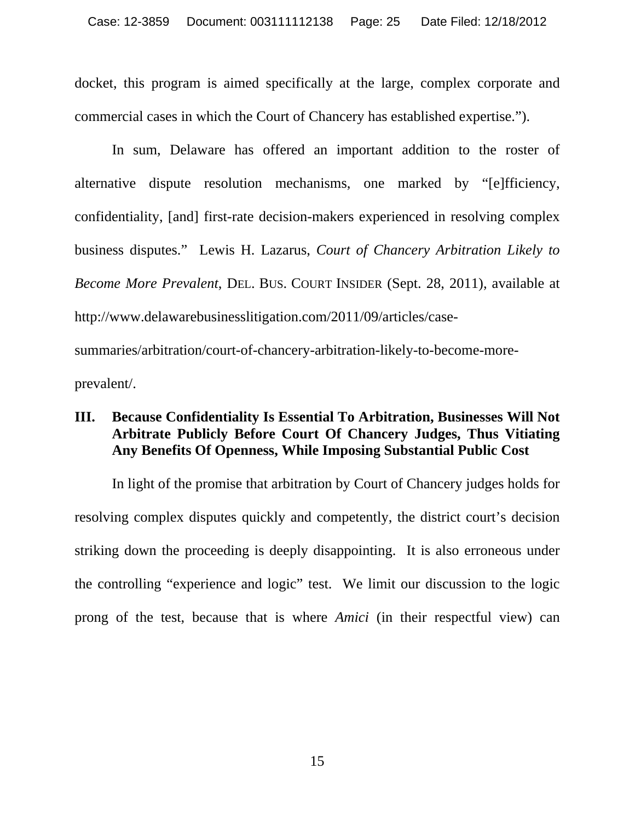docket, this program is aimed specifically at the large, complex corporate and commercial cases in which the Court of Chancery has established expertise.").

 In sum, Delaware has offered an important addition to the roster of alternative dispute resolution mechanisms, one marked by "[e]fficiency, confidentiality, [and] first-rate decision-makers experienced in resolving complex business disputes." Lewis H. Lazarus, *Court of Chancery Arbitration Likely to Become More Prevalent*, DEL. BUS. COURT INSIDER (Sept. 28, 2011), available at http://www.delawarebusinesslitigation.com/2011/09/articles/case-

summaries/arbitration/court-of-chancery-arbitration-likely-to-become-moreprevalent/.

#### **III. Because Confidentiality Is Essential To Arbitration, Businesses Will Not Arbitrate Publicly Before Court Of Chancery Judges, Thus Vitiating Any Benefits Of Openness, While Imposing Substantial Public Cost**

 In light of the promise that arbitration by Court of Chancery judges holds for resolving complex disputes quickly and competently, the district court's decision striking down the proceeding is deeply disappointing. It is also erroneous under the controlling "experience and logic" test. We limit our discussion to the logic prong of the test, because that is where *Amici* (in their respectful view) can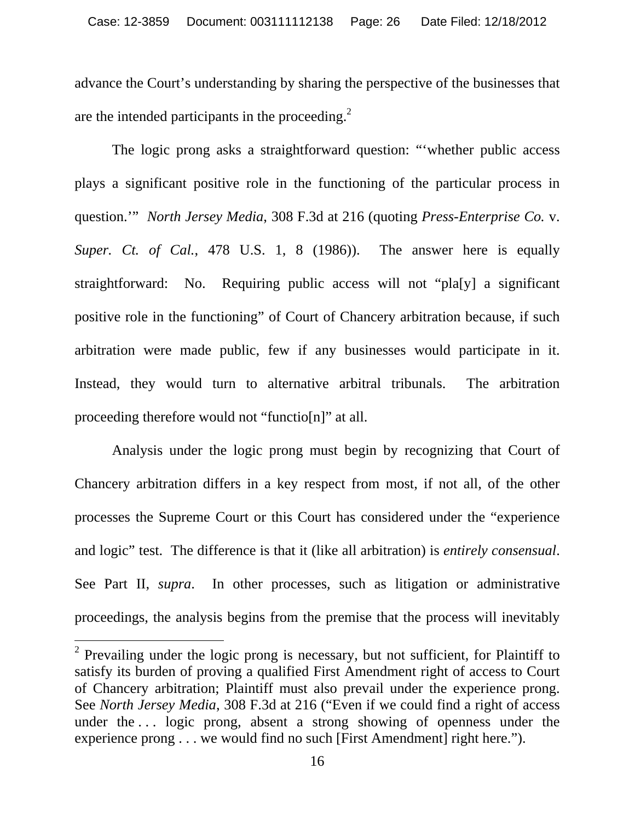advance the Court's understanding by sharing the perspective of the businesses that are the intended participants in the proceeding.<sup>2</sup>

 The logic prong asks a straightforward question: "'whether public access plays a significant positive role in the functioning of the particular process in question.'" *North Jersey Media*, 308 F.3d at 216 (quoting *Press-Enterprise Co.* v. *Super. Ct. of Cal.*, 478 U.S. 1, 8 (1986)). The answer here is equally straightforward: No. Requiring public access will not "pla[y] a significant positive role in the functioning" of Court of Chancery arbitration because, if such arbitration were made public, few if any businesses would participate in it. Instead, they would turn to alternative arbitral tribunals. The arbitration proceeding therefore would not "functio[n]" at all.

 Analysis under the logic prong must begin by recognizing that Court of Chancery arbitration differs in a key respect from most, if not all, of the other processes the Supreme Court or this Court has considered under the "experience and logic" test. The difference is that it (like all arbitration) is *entirely consensual*. See Part II, *supra*. In other processes, such as litigation or administrative proceedings, the analysis begins from the premise that the process will inevitably

 $\overline{a}$ 

 $2$  Prevailing under the logic prong is necessary, but not sufficient, for Plaintiff to satisfy its burden of proving a qualified First Amendment right of access to Court of Chancery arbitration; Plaintiff must also prevail under the experience prong. See *North Jersey Media*, 308 F.3d at 216 ("Even if we could find a right of access under the ... logic prong, absent a strong showing of openness under the experience prong . . . we would find no such [First Amendment] right here.").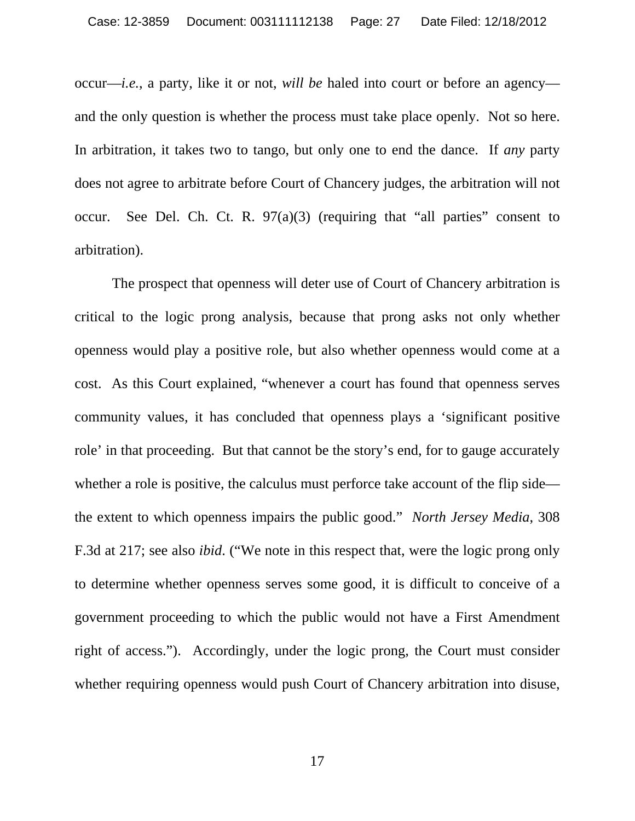occur—*i.e.*, a party, like it or not, *will be* haled into court or before an agency and the only question is whether the process must take place openly. Not so here. In arbitration, it takes two to tango, but only one to end the dance. If *any* party does not agree to arbitrate before Court of Chancery judges, the arbitration will not occur. See Del. Ch. Ct. R.  $97(a)(3)$  (requiring that "all parties" consent to arbitration).

 The prospect that openness will deter use of Court of Chancery arbitration is critical to the logic prong analysis, because that prong asks not only whether openness would play a positive role, but also whether openness would come at a cost. As this Court explained, "whenever a court has found that openness serves community values, it has concluded that openness plays a 'significant positive role' in that proceeding. But that cannot be the story's end, for to gauge accurately whether a role is positive, the calculus must perforce take account of the flip side the extent to which openness impairs the public good." *North Jersey Media*, 308 F.3d at 217; see also *ibid*. ("We note in this respect that, were the logic prong only to determine whether openness serves some good, it is difficult to conceive of a government proceeding to which the public would not have a First Amendment right of access."). Accordingly, under the logic prong, the Court must consider whether requiring openness would push Court of Chancery arbitration into disuse,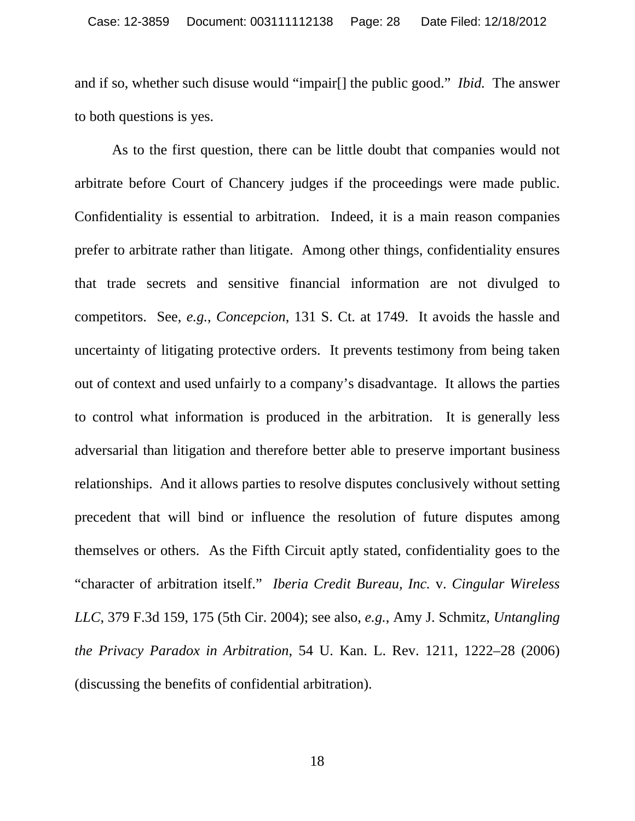and if so, whether such disuse would "impair[] the public good." *Ibid.* The answer to both questions is yes.

 As to the first question, there can be little doubt that companies would not arbitrate before Court of Chancery judges if the proceedings were made public. Confidentiality is essential to arbitration. Indeed, it is a main reason companies prefer to arbitrate rather than litigate. Among other things, confidentiality ensures that trade secrets and sensitive financial information are not divulged to competitors. See, *e.g.*, *Concepcion*, 131 S. Ct. at 1749. It avoids the hassle and uncertainty of litigating protective orders. It prevents testimony from being taken out of context and used unfairly to a company's disadvantage. It allows the parties to control what information is produced in the arbitration. It is generally less adversarial than litigation and therefore better able to preserve important business relationships. And it allows parties to resolve disputes conclusively without setting precedent that will bind or influence the resolution of future disputes among themselves or others. As the Fifth Circuit aptly stated, confidentiality goes to the "character of arbitration itself." *Iberia Credit Bureau, Inc.* v. *Cingular Wireless LLC*, 379 F.3d 159, 175 (5th Cir. 2004); see also, *e.g.*, Amy J. Schmitz, *Untangling the Privacy Paradox in Arbitration*, 54 U. Kan. L. Rev. 1211, 1222–28 (2006) (discussing the benefits of confidential arbitration).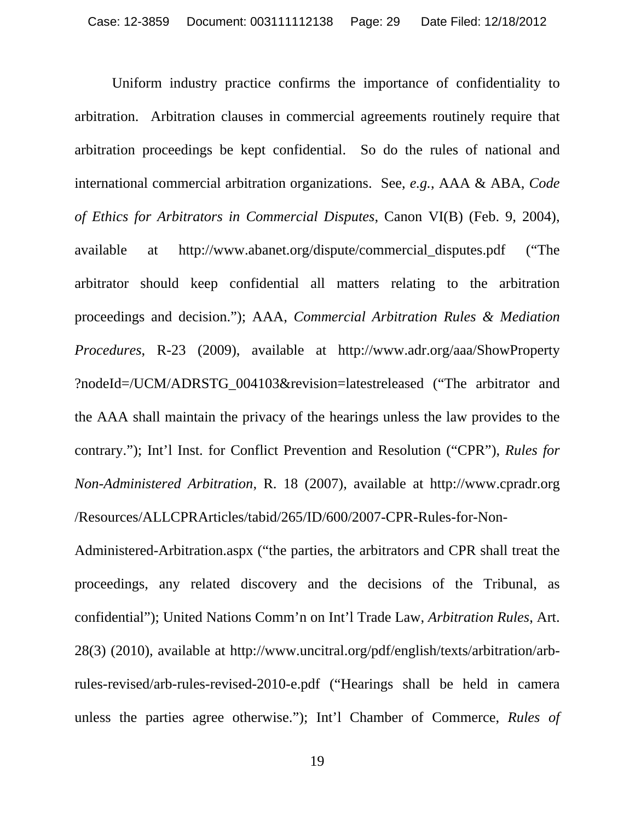Uniform industry practice confirms the importance of confidentiality to arbitration. Arbitration clauses in commercial agreements routinely require that arbitration proceedings be kept confidential. So do the rules of national and international commercial arbitration organizations. See, *e.g.*, AAA & ABA, *Code of Ethics for Arbitrators in Commercial Disputes*, Canon VI(B) (Feb. 9, 2004), available at http://www.abanet.org/dispute/commercial\_disputes.pdf ("The arbitrator should keep confidential all matters relating to the arbitration proceedings and decision."); AAA, *Commercial Arbitration Rules & Mediation Procedures*, R-23 (2009), available at http://www.adr.org/aaa/ShowProperty ?nodeId=/UCM/ADRSTG\_004103&revision=latestreleased ("The arbitrator and the AAA shall maintain the privacy of the hearings unless the law provides to the contrary."); Int'l Inst. for Conflict Prevention and Resolution ("CPR"), *Rules for Non-Administered Arbitration*, R. 18 (2007), available at http://www.cpradr.org /Resources/ALLCPRArticles/tabid/265/ID/600/2007-CPR-Rules-for-Non-

Administered-Arbitration.aspx ("the parties, the arbitrators and CPR shall treat the proceedings, any related discovery and the decisions of the Tribunal, as confidential"); United Nations Comm'n on Int'l Trade Law, *Arbitration Rules*, Art. 28(3) (2010), available at http://www.uncitral.org/pdf/english/texts/arbitration/arbrules-revised/arb-rules-revised-2010-e.pdf ("Hearings shall be held in camera unless the parties agree otherwise."); Int'l Chamber of Commerce, *Rules of*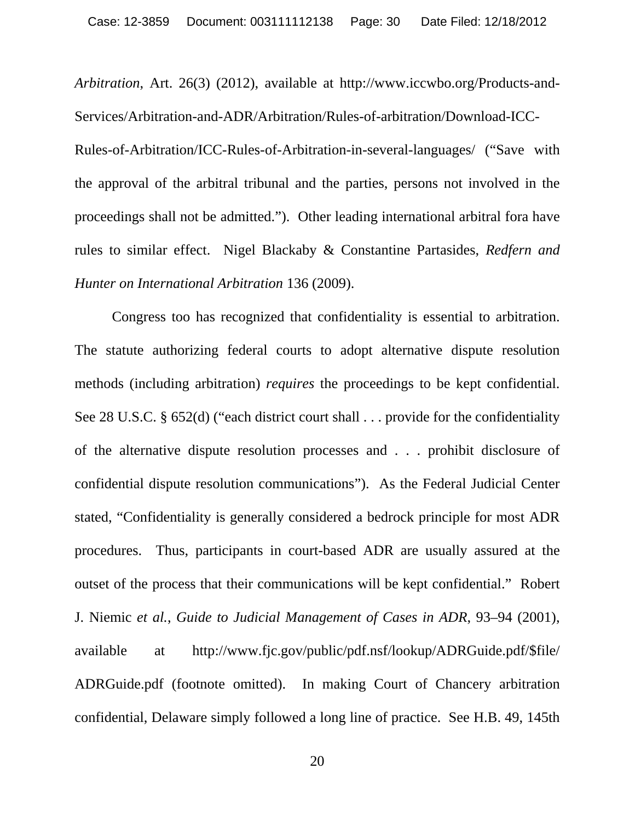*Arbitration*, Art. 26(3) (2012), available at http://www.iccwbo.org/Products-and-Services/Arbitration-and-ADR/Arbitration/Rules-of-arbitration/Download-ICC-Rules-of-Arbitration/ICC-Rules-of-Arbitration-in-several-languages/ ("Save with the approval of the arbitral tribunal and the parties, persons not involved in the proceedings shall not be admitted."). Other leading international arbitral fora have rules to similar effect. Nigel Blackaby & Constantine Partasides, *Redfern and Hunter on International Arbitration* 136 (2009).

Congress too has recognized that confidentiality is essential to arbitration. The statute authorizing federal courts to adopt alternative dispute resolution methods (including arbitration) *requires* the proceedings to be kept confidential. See 28 U.S.C. § 652(d) ("each district court shall . . . provide for the confidentiality of the alternative dispute resolution processes and . . . prohibit disclosure of confidential dispute resolution communications"). As the Federal Judicial Center stated, "Confidentiality is generally considered a bedrock principle for most ADR procedures. Thus, participants in court-based ADR are usually assured at the outset of the process that their communications will be kept confidential." Robert J. Niemic *et al.*, *Guide to Judicial Management of Cases in ADR*, 93–94 (2001), available at http://www.fjc.gov/public/pdf.nsf/lookup/ADRGuide.pdf/\$file/ ADRGuide.pdf (footnote omitted). In making Court of Chancery arbitration confidential, Delaware simply followed a long line of practice. See H.B. 49, 145th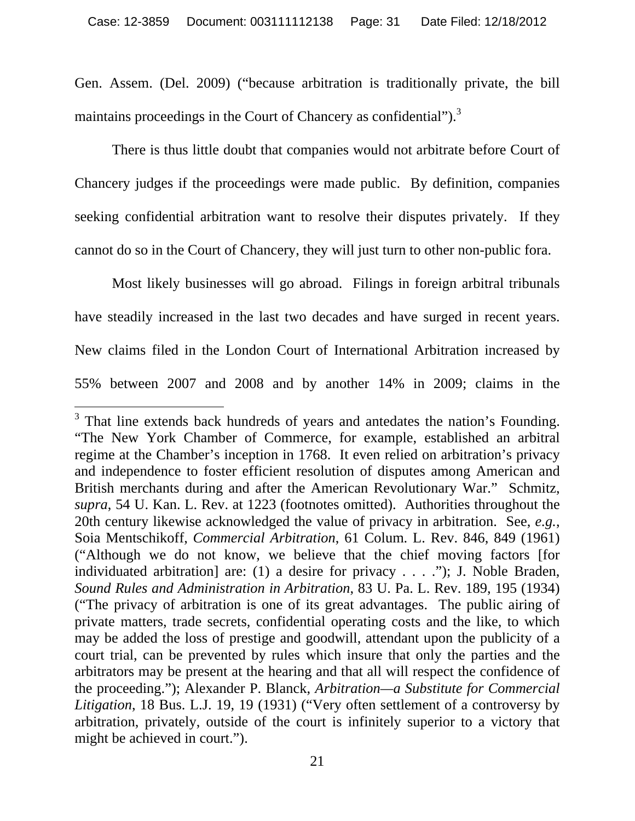Gen. Assem. (Del. 2009) ("because arbitration is traditionally private, the bill maintains proceedings in the Court of Chancery as confidential").<sup>3</sup>

 There is thus little doubt that companies would not arbitrate before Court of Chancery judges if the proceedings were made public. By definition, companies seeking confidential arbitration want to resolve their disputes privately. If they cannot do so in the Court of Chancery, they will just turn to other non-public fora.

 Most likely businesses will go abroad. Filings in foreign arbitral tribunals have steadily increased in the last two decades and have surged in recent years. New claims filed in the London Court of International Arbitration increased by 55% between 2007 and 2008 and by another 14% in 2009; claims in the

 $\overline{a}$ 

 $3$  That line extends back hundreds of years and antedates the nation's Founding. "The New York Chamber of Commerce, for example, established an arbitral regime at the Chamber's inception in 1768. It even relied on arbitration's privacy and independence to foster efficient resolution of disputes among American and British merchants during and after the American Revolutionary War." Schmitz, *supra*, 54 U. Kan. L. Rev. at 1223 (footnotes omitted). Authorities throughout the 20th century likewise acknowledged the value of privacy in arbitration. See, *e.g.*, Soia Mentschikoff, *Commercial Arbitration*, 61 Colum. L. Rev. 846, 849 (1961) ("Although we do not know, we believe that the chief moving factors [for individuated arbitration] are: (1) a desire for privacy . . . ."); J. Noble Braden, *Sound Rules and Administration in Arbitration*, 83 U. Pa. L. Rev. 189, 195 (1934) ("The privacy of arbitration is one of its great advantages. The public airing of private matters, trade secrets, confidential operating costs and the like, to which may be added the loss of prestige and goodwill, attendant upon the publicity of a court trial, can be prevented by rules which insure that only the parties and the arbitrators may be present at the hearing and that all will respect the confidence of the proceeding."); Alexander P. Blanck, *Arbitration—a Substitute for Commercial Litigation*, 18 Bus. L.J. 19, 19 (1931) ("Very often settlement of a controversy by arbitration, privately, outside of the court is infinitely superior to a victory that might be achieved in court.").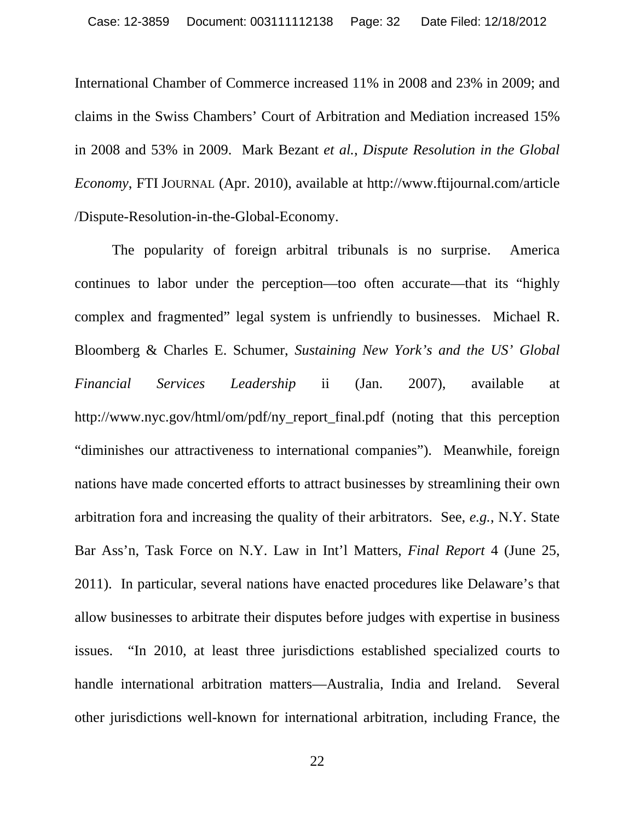International Chamber of Commerce increased 11% in 2008 and 23% in 2009; and claims in the Swiss Chambers' Court of Arbitration and Mediation increased 15% in 2008 and 53% in 2009. Mark Bezant *et al.*, *Dispute Resolution in the Global Economy*, FTI JOURNAL (Apr. 2010), available at http://www.ftijournal.com/article /Dispute-Resolution-in-the-Global-Economy.

 The popularity of foreign arbitral tribunals is no surprise. America continues to labor under the perception—too often accurate—that its "highly complex and fragmented" legal system is unfriendly to businesses. Michael R. Bloomberg & Charles E. Schumer, *Sustaining New York's and the US' Global Financial Services Leadership* ii (Jan. 2007), available at http://www.nyc.gov/html/om/pdf/ny report final.pdf (noting that this perception "diminishes our attractiveness to international companies"). Meanwhile, foreign nations have made concerted efforts to attract businesses by streamlining their own arbitration fora and increasing the quality of their arbitrators. See, *e.g.*, N.Y. State Bar Ass'n, Task Force on N.Y. Law in Int'l Matters, *Final Report* 4 (June 25, 2011). In particular, several nations have enacted procedures like Delaware's that allow businesses to arbitrate their disputes before judges with expertise in business issues. "In 2010, at least three jurisdictions established specialized courts to handle international arbitration matters—Australia, India and Ireland. Several other jurisdictions well-known for international arbitration, including France, the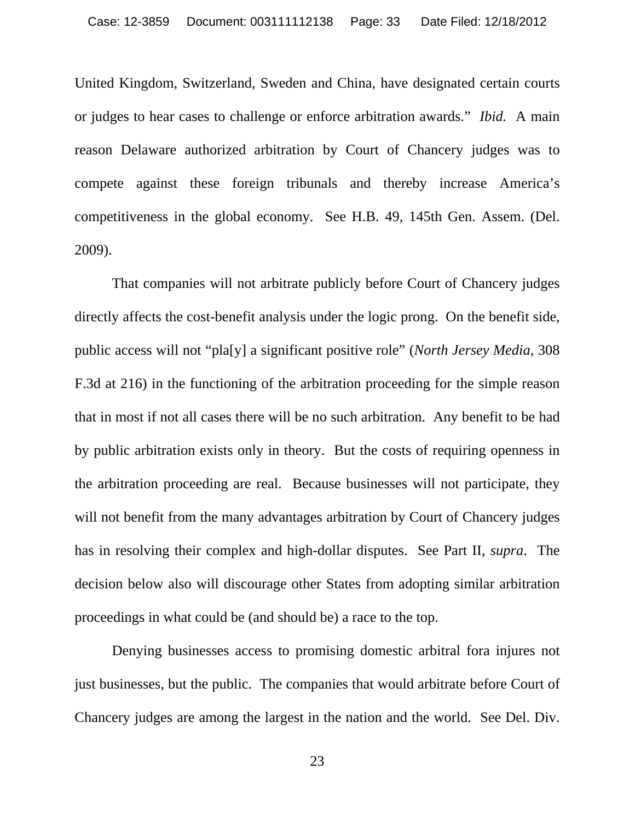United Kingdom, Switzerland, Sweden and China, have designated certain courts or judges to hear cases to challenge or enforce arbitration awards." *Ibid.* A main reason Delaware authorized arbitration by Court of Chancery judges was to compete against these foreign tribunals and thereby increase America's competitiveness in the global economy. See H.B. 49, 145th Gen. Assem. (Del. 2009).

 That companies will not arbitrate publicly before Court of Chancery judges directly affects the cost-benefit analysis under the logic prong. On the benefit side, public access will not "pla[y] a significant positive role" (*North Jersey Media*, 308 F.3d at 216) in the functioning of the arbitration proceeding for the simple reason that in most if not all cases there will be no such arbitration. Any benefit to be had by public arbitration exists only in theory. But the costs of requiring openness in the arbitration proceeding are real. Because businesses will not participate, they will not benefit from the many advantages arbitration by Court of Chancery judges has in resolving their complex and high-dollar disputes. See Part II, *supra*. The decision below also will discourage other States from adopting similar arbitration proceedings in what could be (and should be) a race to the top.

 Denying businesses access to promising domestic arbitral fora injures not just businesses, but the public. The companies that would arbitrate before Court of Chancery judges are among the largest in the nation and the world. See Del. Div.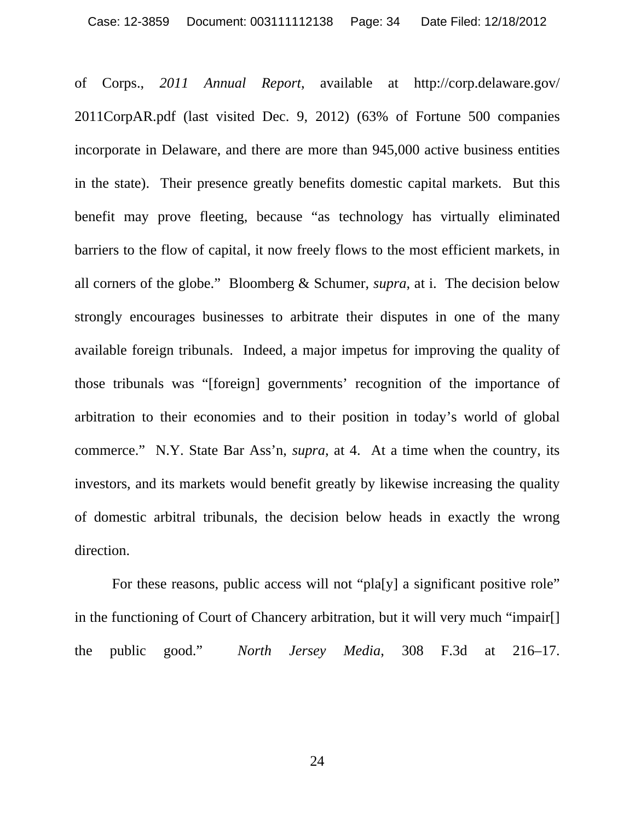of Corps., *2011 Annual Report*, available at http://corp.delaware.gov/ 2011CorpAR.pdf (last visited Dec. 9, 2012) (63% of Fortune 500 companies incorporate in Delaware, and there are more than 945,000 active business entities in the state). Their presence greatly benefits domestic capital markets. But this benefit may prove fleeting, because "as technology has virtually eliminated barriers to the flow of capital, it now freely flows to the most efficient markets, in all corners of the globe." Bloomberg & Schumer, *supra*, at i. The decision below strongly encourages businesses to arbitrate their disputes in one of the many available foreign tribunals. Indeed, a major impetus for improving the quality of those tribunals was "[foreign] governments' recognition of the importance of arbitration to their economies and to their position in today's world of global commerce." N.Y. State Bar Ass'n, *supra*, at 4. At a time when the country, its investors, and its markets would benefit greatly by likewise increasing the quality of domestic arbitral tribunals, the decision below heads in exactly the wrong direction.

 For these reasons, public access will not "pla[y] a significant positive role" in the functioning of Court of Chancery arbitration, but it will very much "impair[] the public good." *North Jersey Media*, 308 F.3d at 216–17.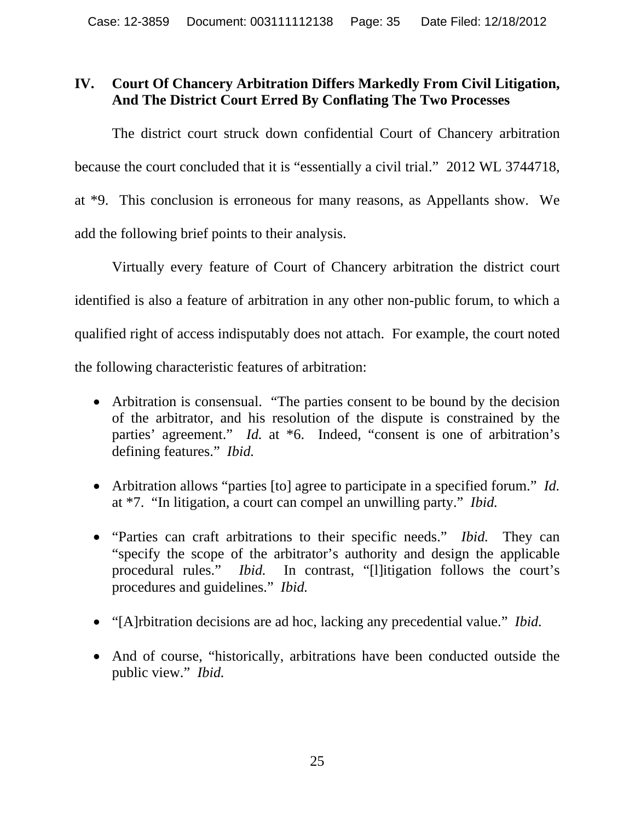#### **IV. Court Of Chancery Arbitration Differs Markedly From Civil Litigation, And The District Court Erred By Conflating The Two Processes**

 The district court struck down confidential Court of Chancery arbitration because the court concluded that it is "essentially a civil trial." 2012 WL 3744718, at \*9. This conclusion is erroneous for many reasons, as Appellants show. We add the following brief points to their analysis.

 Virtually every feature of Court of Chancery arbitration the district court identified is also a feature of arbitration in any other non-public forum, to which a qualified right of access indisputably does not attach. For example, the court noted the following characteristic features of arbitration:

- Arbitration is consensual. "The parties consent to be bound by the decision of the arbitrator, and his resolution of the dispute is constrained by the parties' agreement." *Id.* at \*6. Indeed, "consent is one of arbitration's defining features." *Ibid.*
- Arbitration allows "parties [to] agree to participate in a specified forum." *Id.* at \*7. "In litigation, a court can compel an unwilling party." *Ibid.*
- "Parties can craft arbitrations to their specific needs." *Ibid.* They can "specify the scope of the arbitrator's authority and design the applicable procedural rules." *Ibid.* In contrast, "[l]itigation follows the court's procedures and guidelines." *Ibid.*
- "[A]rbitration decisions are ad hoc, lacking any precedential value." *Ibid.*
- And of course, "historically, arbitrations have been conducted outside the public view." *Ibid.*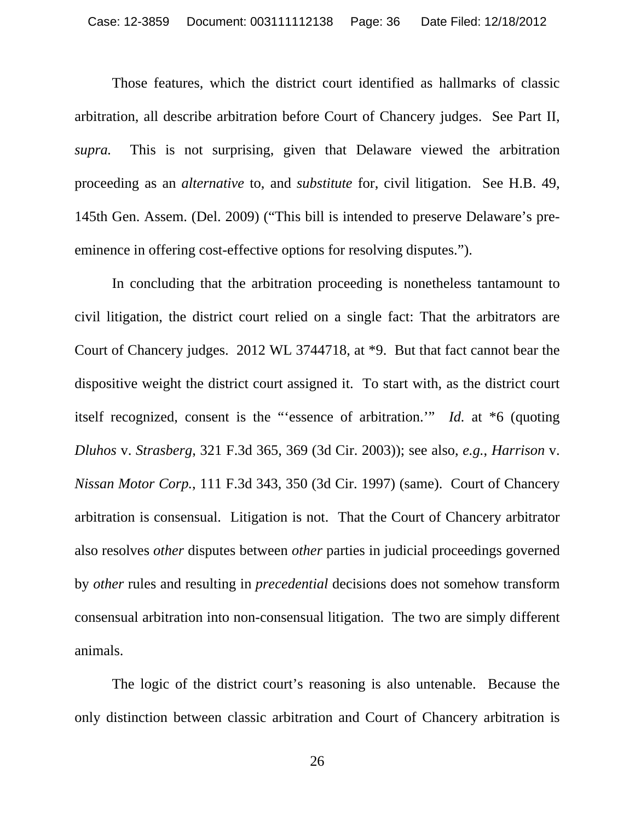Those features, which the district court identified as hallmarks of classic arbitration, all describe arbitration before Court of Chancery judges. See Part II, *supra.* This is not surprising, given that Delaware viewed the arbitration proceeding as an *alternative* to, and *substitute* for, civil litigation. See H.B. 49, 145th Gen. Assem. (Del. 2009) ("This bill is intended to preserve Delaware's preeminence in offering cost-effective options for resolving disputes.").

 In concluding that the arbitration proceeding is nonetheless tantamount to civil litigation, the district court relied on a single fact: That the arbitrators are Court of Chancery judges. 2012 WL 3744718, at \*9. But that fact cannot bear the dispositive weight the district court assigned it. To start with, as the district court itself recognized, consent is the "'essence of arbitration.'" *Id.* at \*6 (quoting *Dluhos* v. *Strasberg*, 321 F.3d 365, 369 (3d Cir. 2003)); see also, *e.g.*, *Harrison* v. *Nissan Motor Corp.*, 111 F.3d 343, 350 (3d Cir. 1997) (same). Court of Chancery arbitration is consensual. Litigation is not. That the Court of Chancery arbitrator also resolves *other* disputes between *other* parties in judicial proceedings governed by *other* rules and resulting in *precedential* decisions does not somehow transform consensual arbitration into non-consensual litigation. The two are simply different animals.

 The logic of the district court's reasoning is also untenable. Because the only distinction between classic arbitration and Court of Chancery arbitration is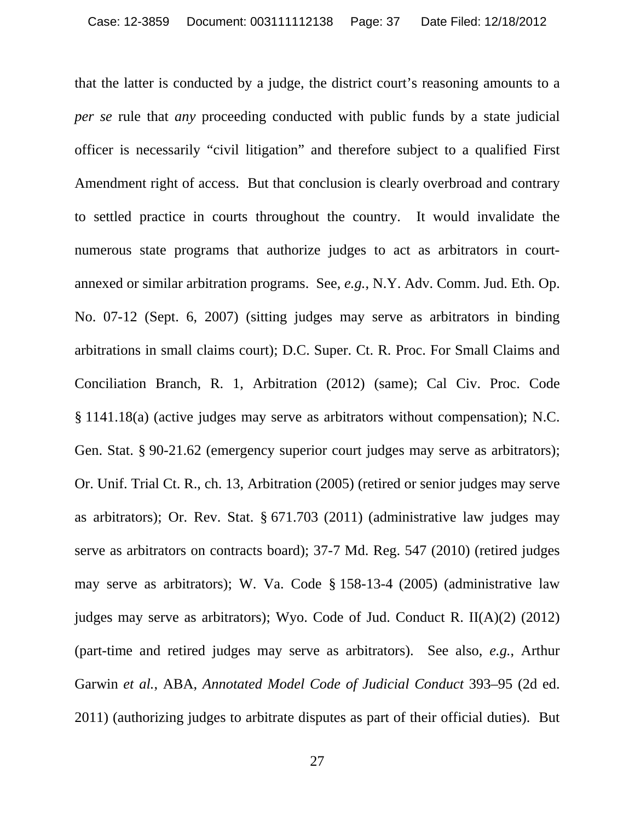that the latter is conducted by a judge, the district court's reasoning amounts to a *per se* rule that *any* proceeding conducted with public funds by a state judicial officer is necessarily "civil litigation" and therefore subject to a qualified First Amendment right of access. But that conclusion is clearly overbroad and contrary to settled practice in courts throughout the country. It would invalidate the numerous state programs that authorize judges to act as arbitrators in courtannexed or similar arbitration programs. See, *e.g.*, N.Y. Adv. Comm. Jud. Eth. Op. No. 07-12 (Sept. 6, 2007) (sitting judges may serve as arbitrators in binding arbitrations in small claims court); D.C. Super. Ct. R. Proc. For Small Claims and Conciliation Branch, R. 1, Arbitration (2012) (same); Cal Civ. Proc. Code § 1141.18(a) (active judges may serve as arbitrators without compensation); N.C. Gen. Stat. § 90-21.62 (emergency superior court judges may serve as arbitrators); Or. Unif. Trial Ct. R., ch. 13, Arbitration (2005) (retired or senior judges may serve as arbitrators); Or. Rev. Stat. § 671.703 (2011) (administrative law judges may serve as arbitrators on contracts board); 37-7 Md. Reg. 547 (2010) (retired judges may serve as arbitrators); W. Va. Code § 158-13-4 (2005) (administrative law judges may serve as arbitrators); Wyo. Code of Jud. Conduct R. II(A)(2) (2012) (part-time and retired judges may serve as arbitrators). See also, *e.g.*, Arthur Garwin *et al.*, ABA, *Annotated Model Code of Judicial Conduct* 393–95 (2d ed. 2011) (authorizing judges to arbitrate disputes as part of their official duties). But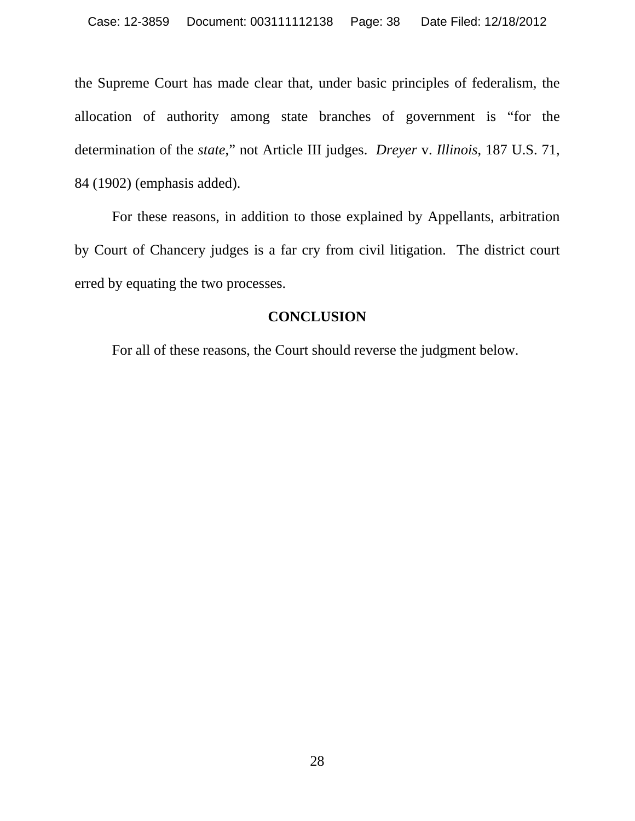the Supreme Court has made clear that, under basic principles of federalism, the allocation of authority among state branches of government is "for the determination of the *state*," not Article III judges. *Dreyer* v. *Illinois*, 187 U.S. 71, 84 (1902) (emphasis added).

 For these reasons, in addition to those explained by Appellants, arbitration by Court of Chancery judges is a far cry from civil litigation. The district court erred by equating the two processes.

#### **CONCLUSION**

For all of these reasons, the Court should reverse the judgment below.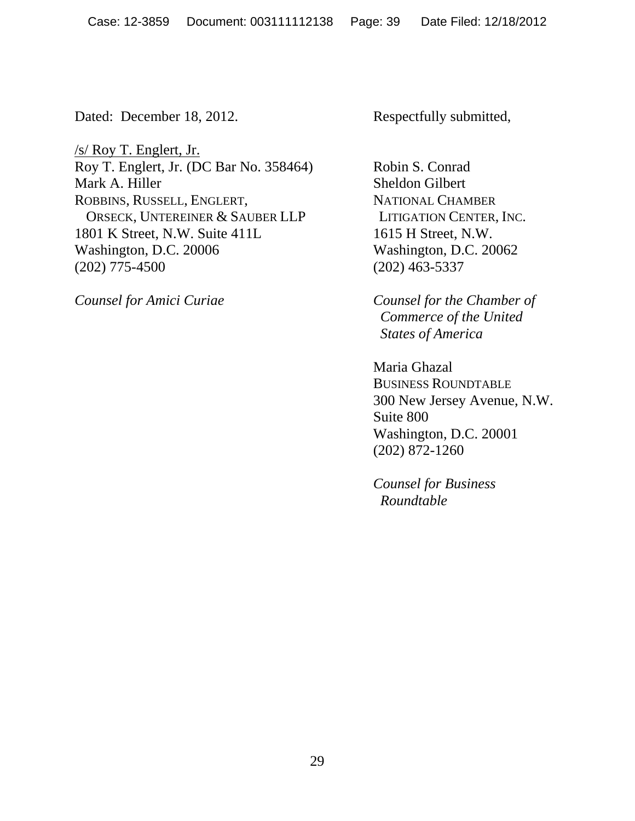Dated: December 18, 2012. Respectfully submitted,

/s/ Roy T. Englert, Jr. Roy T. Englert, Jr. (DC Bar No. 358464) Robin S. Conrad Mark A. Hiller Sheldon Gilbert ROBBINS, RUSSELL, ENGLERT, NATIONAL CHAMBER ORSECK, UNTEREINER & SAUBER LLP LITIGATION CENTER, INC. 1801 K Street, N.W. Suite 411L 1615 H Street, N.W. Washington, D.C. 20006 Washington, D.C. 20062 (202) 775-4500 (202) 463-5337

*Counsel for Amici Curiae Counsel for the Chamber of Commerce of the United States of America*

> Maria Ghazal BUSINESS ROUNDTABLE 300 New Jersey Avenue, N.W. Suite 800 Washington, D.C. 20001 (202) 872-1260

 *Counsel for Business Roundtable*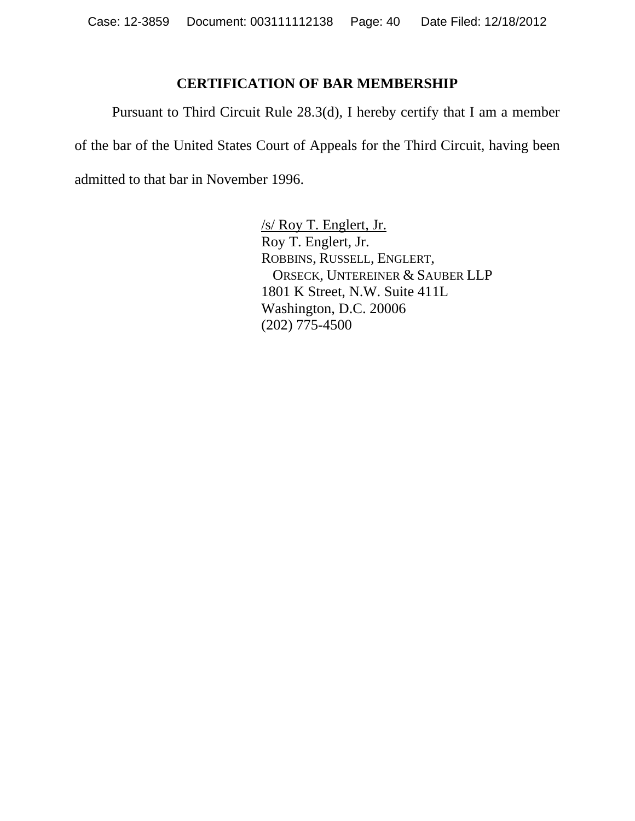#### **CERTIFICATION OF BAR MEMBERSHIP**

 Pursuant to Third Circuit Rule 28.3(d), I hereby certify that I am a member of the bar of the United States Court of Appeals for the Third Circuit, having been admitted to that bar in November 1996.

> /s/ Roy T. Englert, Jr. Roy T. Englert, Jr. ROBBINS, RUSSELL, ENGLERT, ORSECK, UNTEREINER & SAUBER LLP 1801 K Street, N.W. Suite 411L Washington, D.C. 20006 (202) 775-4500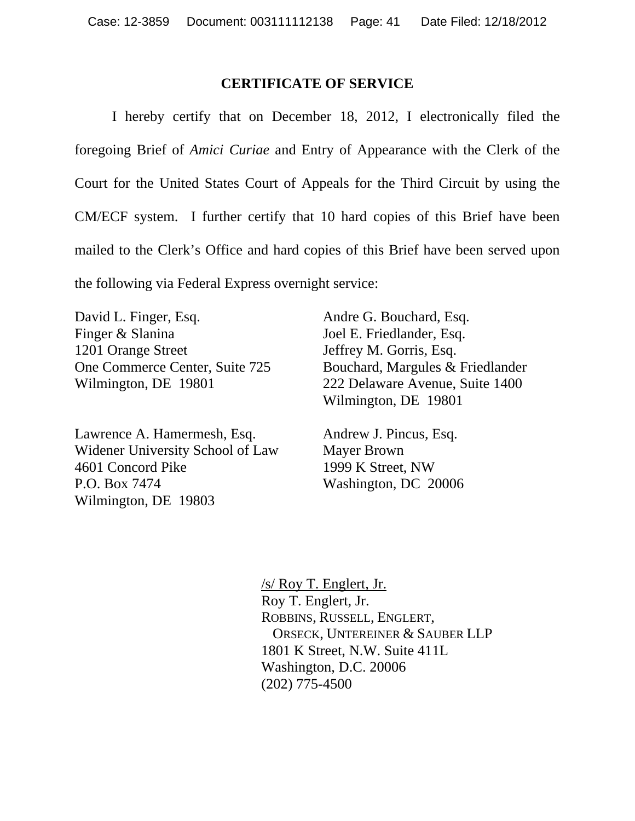#### **CERTIFICATE OF SERVICE**

 I hereby certify that on December 18, 2012, I electronically filed the foregoing Brief of *Amici Curiae* and Entry of Appearance with the Clerk of the Court for the United States Court of Appeals for the Third Circuit by using the CM/ECF system. I further certify that 10 hard copies of this Brief have been mailed to the Clerk's Office and hard copies of this Brief have been served upon the following via Federal Express overnight service:

David L. Finger, Esq. Finger & Slanina 1201 Orange Street One Commerce Center, Suite 725 Wilmington, DE 19801

Lawrence A. Hamermesh, Esq. Widener University School of Law 4601 Concord Pike P.O. Box 7474 Wilmington, DE 19803

Andre G. Bouchard, Esq. Joel E. Friedlander, Esq. Jeffrey M. Gorris, Esq. Bouchard, Margules & Friedlander 222 Delaware Avenue, Suite 1400 Wilmington, DE 19801

Andrew J. Pincus, Esq. Mayer Brown 1999 K Street, NW Washington, DC 20006

/s/ Roy T. Englert, Jr. Roy T. Englert, Jr. ROBBINS, RUSSELL, ENGLERT, ORSECK, UNTEREINER & SAUBER LLP 1801 K Street, N.W. Suite 411L Washington, D.C. 20006 (202) 775-4500